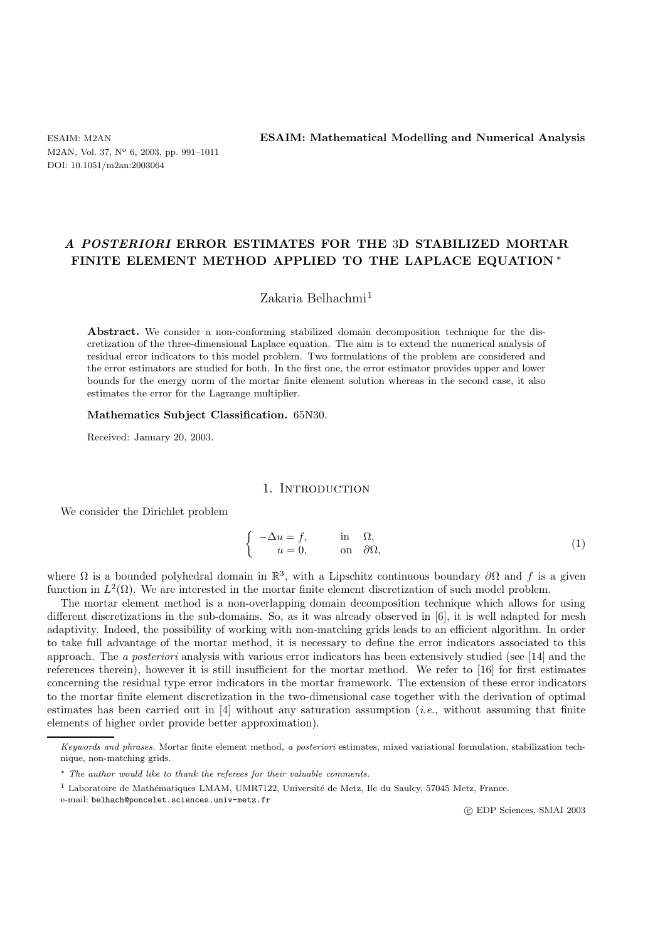M2AN, Vol. 37, N° 6, 2003, pp. 991-1011 DOI: 10.1051/m2an:2003064

ESAIM: M2AN **ESAIM: Mathematical Modelling and Numerical Analysis**

# *A POSTERIORI* **ERROR ESTIMATES FOR THE** 3**D STABILIZED MORTAR FINITE ELEMENT METHOD APPLIED TO THE LAPLACE EQUATION** ∗

# Zakaria Belhachmi<sup>1</sup>

**Abstract.** We consider a non-conforming stabilized domain decomposition technique for the discretization of the three-dimensional Laplace equation. The aim is to extend the numerical analysis of residual error indicators to this model problem. Two formulations of the problem are considered and the error estimators are studied for both. In the first one, the error estimator provides upper and lower bounds for the energy norm of the mortar finite element solution whereas in the second case, it also estimates the error for the Lagrange multiplier.

#### **Mathematics Subject Classification.** 65N30.

Received: January 20, 2003.

## 1. INTRODUCTION

We consider the Dirichlet problem

$$
\begin{cases}\n-\Delta u = f, & \text{in } \Omega, \\
u = 0, & \text{on } \partial\Omega,\n\end{cases}
$$
\n(1)

where  $\Omega$  is a bounded polyhedral domain in  $\mathbb{R}^3$ , with a Lipschitz continuous boundary  $\partial\Omega$  and f is a given function in  $L^2(\Omega)$ . We are interested in the mortar finite element discretization of such model problem.

The mortar element method is a non-overlapping domain decomposition technique which allows for using different discretizations in the sub-domains. So, as it was already observed in [6], it is well adapted for mesh adaptivity. Indeed, the possibility of working with non-matching grids leads to an efficient algorithm. In order to take full advantage of the mortar method, it is necessary to define the error indicators associated to this approach. The *a posteriori* analysis with various error indicators has been extensively studied (see [14] and the references therein), however it is still insufficient for the mortar method. We refer to [16] for first estimates concerning the residual type error indicators in the mortar framework. The extension of these error indicators to the mortar finite element discretization in the two-dimensional case together with the derivation of optimal estimates has been carried out in [4] without any saturation assumption (*i.e.*, without assuming that finite elements of higher order provide better approximation).

c EDP Sciences, SMAI 2003

Keywords and phrases. Mortar finite element method, a posteriori estimates, mixed variational formulation, stabilization technique, non-matching grids.

<sup>∗</sup> The author would like to thank the referees for their valuable comments.

 $1$  Laboratoire de Mathématiques LMAM, UMR7122, Université de Metz, Ile du Saulcy, 57045 Metz, France.

e-mail: belhach@poncelet.sciences.univ-metz.fr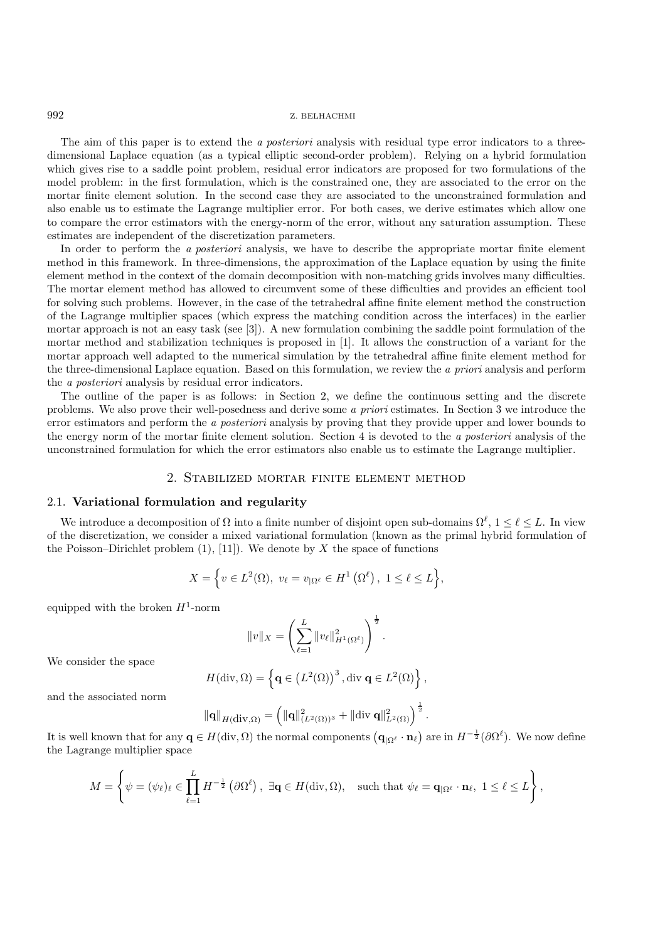The aim of this paper is to extend the *a posteriori* analysis with residual type error indicators to a threedimensional Laplace equation (as a typical elliptic second-order problem). Relying on a hybrid formulation which gives rise to a saddle point problem, residual error indicators are proposed for two formulations of the model problem: in the first formulation, which is the constrained one, they are associated to the error on the mortar finite element solution. In the second case they are associated to the unconstrained formulation and also enable us to estimate the Lagrange multiplier error. For both cases, we derive estimates which allow one to compare the error estimators with the energy-norm of the error, without any saturation assumption. These estimates are independent of the discretization parameters.

In order to perform the *a posteriori* analysis, we have to describe the appropriate mortar finite element method in this framework. In three-dimensions, the approximation of the Laplace equation by using the finite element method in the context of the domain decomposition with non-matching grids involves many difficulties. The mortar element method has allowed to circumvent some of these difficulties and provides an efficient tool for solving such problems. However, in the case of the tetrahedral affine finite element method the construction of the Lagrange multiplier spaces (which express the matching condition across the interfaces) in the earlier mortar approach is not an easy task (see [3]). A new formulation combining the saddle point formulation of the mortar method and stabilization techniques is proposed in [1]. It allows the construction of a variant for the mortar approach well adapted to the numerical simulation by the tetrahedral affine finite element method for the three-dimensional Laplace equation. Based on this formulation, we review the *a priori* analysis and perform the *a posteriori* analysis by residual error indicators.

The outline of the paper is as follows: in Section 2, we define the continuous setting and the discrete problems. We also prove their well-posedness and derive some *a priori* estimates. In Section 3 we introduce the error estimators and perform the *a posteriori* analysis by proving that they provide upper and lower bounds to the energy norm of the mortar finite element solution. Section 4 is devoted to the *a posteriori* analysis of the unconstrained formulation for which the error estimators also enable us to estimate the Lagrange multiplier.

# 2. Stabilized mortar finite element method

## 2.1. **Variational formulation and regularity**

We introduce a decomposition of  $\Omega$  into a finite number of disjoint open sub-domains  $\Omega^{\ell}$ ,  $1 \leq \ell \leq L$ . In view of the discretization, we consider a mixed variational formulation (known as the primal hybrid formulation of the Poisson–Dirichlet problem  $(1)$ ,  $[11]$ ). We denote by X the space of functions

$$
X = \left\{ v \in L^2(\Omega), \ v_\ell = v_{|\Omega^\ell} \in H^1\left(\Omega^\ell\right), \ 1 \leq \ell \leq L \right\},\
$$

equipped with the broken  $H^1$ -norm

$$
||v||_X = \left(\sum_{\ell=1}^L ||v_\ell||^2_{H^1(\Omega^\ell)}\right)^{\frac{1}{2}}.
$$

We consider the space

$$
H(\text{div}, \Omega) = \left\{ \mathbf{q} \in (L^2(\Omega))^3, \text{div } \mathbf{q} \in L^2(\Omega) \right\},\
$$

and the associated norm

$$
\|\mathbf{q}\|_{H(\mathrm{div},\Omega)} = \left( \|\mathbf{q}\|_{(L^2(\Omega))^3}^2 + \|\mathrm{div}\,\mathbf{q}\|_{L^2(\Omega)}^2 \right)^{\frac{1}{2}}.
$$

It is well known that for any  $\mathbf{q} \in H(\text{div}, \Omega)$  the normal components  $(\mathbf{q}_{|\Omega^\ell} \cdot \mathbf{n}_\ell)$  are in  $H^{-\frac{1}{2}}(\partial \Omega^\ell)$ . We now define the Lagrange multiplier space the Lagrange multiplier space

$$
M = \left\{ \psi = (\psi_{\ell})_{\ell} \in \prod_{\ell=1}^{L} H^{-\frac{1}{2}}\left(\partial \Omega^{\ell}\right), \ \exists \mathbf{q} \in H(\text{div}, \Omega), \quad \text{such that } \psi_{\ell} = \mathbf{q}_{|\Omega^{\ell}} \cdot \mathbf{n}_{\ell}, \ 1 \leq \ell \leq L \right\},\
$$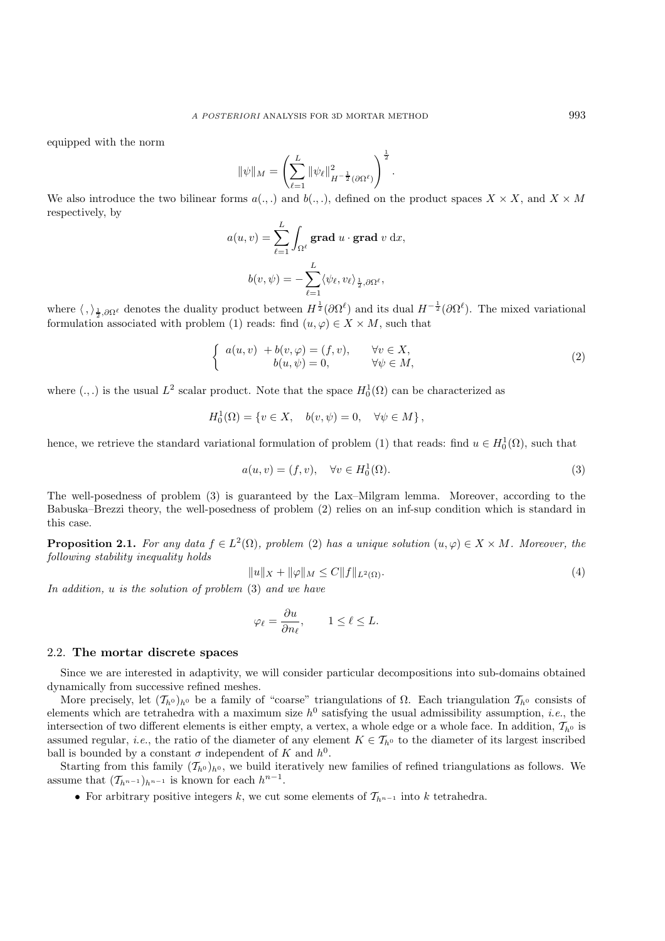equipped with the norm

$$
\|\psi\|_{M} = \left(\sum_{\ell=1}^{L} \|\psi_{\ell}\|_{H^{-\frac{1}{2}}(\partial \Omega^{\ell})}^2\right)^{\frac{1}{2}}.
$$

We also introduce the two bilinear forms  $a(.,.)$  and  $b(.,.)$ , defined on the product spaces  $X \times X$ , and  $X \times M$ respectively, by

$$
a(u, v) = \sum_{\ell=1}^{L} \int_{\Omega^{\ell}} \mathbf{grad} \ u \cdot \mathbf{grad} \ v \ \mathrm{d}x,
$$

$$
b(v, \psi) = -\sum_{\ell=1}^{L} \langle \psi_{\ell}, v_{\ell} \rangle_{\frac{1}{2}, \partial \Omega^{\ell}},
$$

where  $\langle , \rangle_{\frac{1}{2},\partial\Omega^{\ell}}$  denotes the duality product between  $H^{\frac{1}{2}}(\partial\Omega^{\ell})$  and its dual  $H^{-\frac{1}{2}}(\partial\Omega^{\ell})$ . The mixed variational formulation according with problem (1) reads; find  $(\mu,\alpha) \in X \times M$  such that formulation associated with problem (1) reads: find  $(u, \varphi) \in X \times M$ , such that

$$
\begin{cases}\n a(u,v) + b(v,\varphi) = (f,v), & \forall v \in X, \\
 b(u,\psi) = 0, & \forall \psi \in M,\n\end{cases}
$$
\n(2)

where  $(.,.)$  is the usual  $L^2$  scalar product. Note that the space  $H_0^1(\Omega)$  can be characterized as

$$
H_0^1(\Omega) = \{ v \in X, \quad b(v, \psi) = 0, \quad \forall \psi \in M \},
$$

hence, we retrieve the standard variational formulation of problem (1) that reads: find  $u \in H_0^1(\Omega)$ , such that

$$
a(u, v) = (f, v), \quad \forall v \in H_0^1(\Omega). \tag{3}
$$

The well-posedness of problem (3) is guaranteed by the Lax–Milgram lemma. Moreover, according to the Babuska–Brezzi theory, the well-posedness of problem (2) relies on an inf-sup condition which is standard in this case.

**Proposition 2.1.** *For any data*  $f \in L^2(\Omega)$ *, problem* (2) *has a unique solution*  $(u, \varphi) \in X \times M$ *. Moreover, the following stability inequality holds*

$$
||u||_X + ||\varphi||_M \le C||f||_{L^2(\Omega)}.\tag{4}
$$

*In addition,* u *is the solution of problem* (3) *and we have*

$$
\varphi_{\ell} = \frac{\partial u}{\partial n_{\ell}}, \qquad 1 \leq \ell \leq L.
$$

# 2.2. **The mortar discrete spaces**

Since we are interested in adaptivity, we will consider particular decompositions into sub-domains obtained dynamically from successive refined meshes.

More precisely, let  $(\mathcal{T}_{h^0})_{h^0}$  be a family of "coarse" triangulations of  $\Omega$ . Each triangulation  $\mathcal{T}_{h^0}$  consists of elements which are tetrahedra with a maximum size  $h^0$  satisfying the usual admissibility assumption, *i.e.*, the intersection of two different elements is either empty, a vertex, a whole edge or a whole face. In addition,  $\mathcal{T}_{h^0}$  is assumed regular, *i.e.*, the ratio of the diameter of any element  $K \in \mathcal{T}_{h^0}$  to the diameter of its largest inscribed ball is bounded by a constant  $\sigma$  independent of K and  $h^0$ .

Starting from this family  $(\mathcal{T}_{h^0})_{h^0}$ , we build iteratively new families of refined triangulations as follows. We assume that  $(\mathcal{T}_{h^{n-1}})_{h^{n-1}}$  is known for each  $h^{n-1}$ .

• For arbitrary positive integers k, we cut some elements of  $\mathcal{T}_{h^{n-1}}$  into k tetrahedra.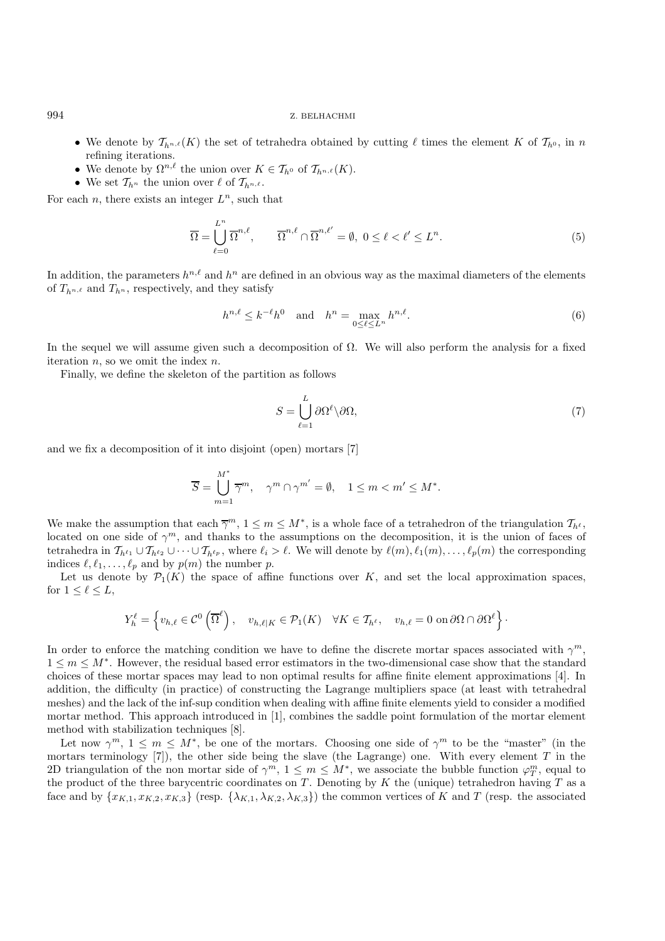- We denote by  $\mathcal{T}_{h^{n,\ell}}(K)$  the set of tetrahedra obtained by cutting  $\ell$  times the element K of  $\mathcal{T}_{h^0}$ , in n refining iterations.
- We denote by  $\Omega^{n,\ell}$  the union over  $K \in \mathcal{T}_{h^0}$  of  $\mathcal{T}_{h^{n,\ell}}(K)$ .
- We set  $\mathcal{T}_{h^n}$  the union over  $\ell$  of  $\mathcal{T}_{h^{n,\ell}}$ .

For each *n*, there exists an integer  $L^n$ , such that

$$
\overline{\Omega} = \bigcup_{\ell=0}^{L^n} \overline{\Omega}^{n,\ell}, \qquad \overline{\Omega}^{n,\ell} \cap \overline{\Omega}^{n,\ell'} = \emptyset, \ 0 \le \ell < \ell' \le L^n. \tag{5}
$$

In addition, the parameters  $h^{n,\ell}$  and  $h^n$  are defined in an obvious way as the maximal diameters of the elements of  $T_{h^{n,\ell}}$  and  $T_{h^{n}}$ , respectively, and they satisfy

$$
h^{n,\ell} \le k^{-\ell} h^0 \quad \text{and} \quad h^n = \max_{0 \le \ell \le L^n} h^{n,\ell}.
$$

In the sequel we will assume given such a decomposition of  $\Omega$ . We will also perform the analysis for a fixed iteration  $n$ , so we omit the index  $n$ .

Finally, we define the skeleton of the partition as follows

$$
S = \bigcup_{\ell=1}^{L} \partial \Omega^{\ell} \backslash \partial \Omega, \tag{7}
$$

and we fix a decomposition of it into disjoint (open) mortars [7]

$$
\overline{S} = \bigcup_{m=1}^{M^*} \overline{\gamma}^m, \quad \gamma^m \cap \gamma^{m'} = \emptyset, \quad 1 \le m < m' \le M^*.
$$

We make the assumption that each  $\overline{\gamma}^m$ ,  $1 \leq m \leq M^*$ , is a whole face of a tetrahedron of the triangulation  $\mathcal{T}_{h\ell}$ , located on one side of  $\gamma^m$ , and thanks to the assumptions on the decomposition, it is the union of faces of tetrahedra in  $\mathcal{T}_{h^{\ell_1}} \cup \mathcal{T}_{h^{\ell_2}} \cup \cdots \cup \mathcal{T}_{h^{\ell_p}}$ , where  $\ell_i > \ell$ . We will denote by  $\ell(m), \ell_1(m), \ldots, \ell_p(m)$  the corresponding indices  $\ell, \ell_1,\ldots,\ell_p$  and by  $p(m)$  the number p.

Let us denote by  $\mathcal{P}_1(K)$  the space of affine functions over K, and set the local approximation spaces, for  $1 \leq \ell \leq L$ ,

$$
Y_h^{\ell} = \left\{ v_{h,\ell} \in \mathcal{C}^0 \left( \overline{\Omega}^{\ell} \right), \quad v_{h,\ell|K} \in \mathcal{P}_1(K) \quad \forall K \in \mathcal{T}_{h^{\ell}}, \quad v_{h,\ell} = 0 \text{ on } \partial \Omega \cap \partial \Omega^{\ell} \right\}.
$$

In order to enforce the matching condition we have to define the discrete mortar spaces associated with  $\gamma^m$ .  $1 \leq m \leq M^*$ . However, the residual based error estimators in the two-dimensional case show that the standard choices of these mortar spaces may lead to non optimal results for affine finite element approximations [4]. In addition, the difficulty (in practice) of constructing the Lagrange multipliers space (at least with tetrahedral meshes) and the lack of the inf-sup condition when dealing with affine finite elements yield to consider a modified mortar method. This approach introduced in [1], combines the saddle point formulation of the mortar element method with stabilization techniques [8].

Let now  $\gamma^m$ ,  $1 \leq m \leq M^*$ , be one of the mortars. Choosing one side of  $\gamma^m$  to be the "master" (in the mortars terminology  $[7]$ , the other side being the slave (the Lagrange) one. With every element T in the 2D triangulation of the non mortar side of  $\gamma^m$ ,  $1 \leq m \leq M^*$ , we associate the bubble function  $\varphi^m_T$ , equal to the product of the three barycentric coordinates on T. Denoting by K the (unique) tetrahedron having T the product of the three barycentric coordinates on T. Denoting by K the (unique) tetrahedron having T as a face and by  $\{x_{K,1}, x_{K,2}, x_{K,3}\}$  (resp.  $\{\lambda_{K,1}, \lambda_{K,2}, \lambda_{K,3}\}\$ ) the common vertices of K and T (resp. the associated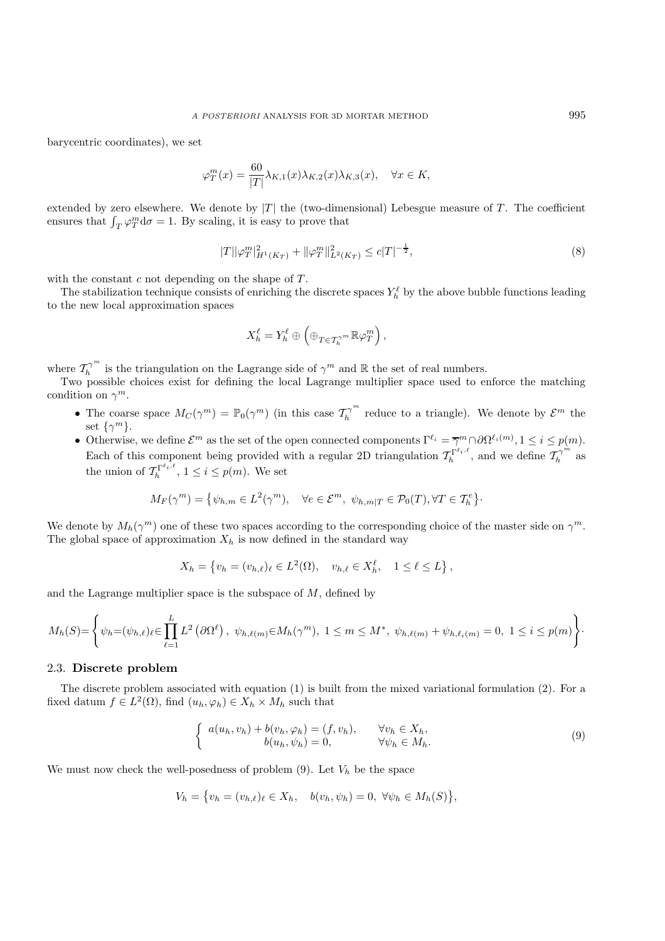barycentric coordinates), we set

$$
\varphi_T^m(x) = \frac{60}{|T|} \lambda_{K,1}(x) \lambda_{K,2}(x) \lambda_{K,3}(x), \quad \forall x \in K,
$$

extended by zero elsewhere. We denote by  $|T|$  the (two-dimensional) Lebesgue measure of T. The coefficient ensures that  $\int_T \varphi_T^m d\sigma = 1$ . By scaling, it is easy to prove that

$$
|T||\varphi_T^m|_{H^1(K_T)}^2 + ||\varphi_T^m||_{L^2(K_T)}^2 \le c|T|^{-\frac{1}{2}},\tag{8}
$$

with the constant  $c$  not depending on the shape of  $T$ .

The stabilization technique consists of enriching the discrete spaces  $Y_h^{\ell}$  by the above bubble functions leading the new local approximation spaces to the new local approximation spaces

$$
X_h^{\ell} = Y_h^{\ell} \oplus \left( \oplus_{T \in \mathcal{T}_h^{\gamma^m}} \mathbb{R} \varphi_T^m \right),
$$

where  $\mathcal{T}_{h}^{\gamma^{m}}$  is the triangulation on the Lagrange side of  $\gamma^{m}$  and R the set of real numbers.<br>Two possible choices exist for defining the local Lagrange multiplier space used to enforce the matching condition on  $\gamma^m$ .

- The coarse space  $M_C(\gamma^m) = \mathbb{P}_0(\gamma^m)$  (in this case  $\mathcal{T}_{h}^{\gamma^m}$  reduce to a triangle). We denote by  $\mathcal{E}^m$  the  $\operatorname{set}$   $\{\gamma^m\}.$ <br>Otherwise
- Otherwise, we define  $\mathcal{E}^m$  as the set of the open connected components  $\Gamma^{\ell_i} = \overline{\gamma}^m \cap \partial \Omega^{\ell_i(m)}, 1 \leq i \leq p(m)$ .<br>Each of this component being provided with a regular 2D triangulation  $\mathcal{T}_h^{\Gamma^{\ell_i,\ell}}$ , and we de

$$
M_F(\gamma^m) = \{ \psi_{h,m} \in L^2(\gamma^m), \quad \forall e \in \mathcal{E}^m, \ \psi_{h,m|T} \in \mathcal{P}_0(T), \forall T \in \mathcal{T}_h^e \}.
$$

We denote by  $M_h(\gamma^m)$  one of these two spaces according to the corresponding choice of the master side on  $\gamma^m$ . The global space of approximation  $X_h$  is now defined in the standard way

$$
X_h = \left\{ v_h = (v_{h,\ell})_\ell \in L^2(\Omega), \quad v_{h,\ell} \in X_h^\ell, \quad 1 \leq \ell \leq L \right\},\
$$

and the Lagrange multiplier space is the subspace of  $M$ , defined by

$$
M_h(S) = \left\{ \psi_h = (\psi_{h,\ell})_{\ell} \in \prod_{\ell=1}^L L^2(\partial \Omega^{\ell}), \ \psi_{h,\ell(m)} \in M_h(\gamma^m), \ 1 \leq m \leq M^*, \ \psi_{h,\ell(m)} + \psi_{h,\ell_i(m)} = 0, \ 1 \leq i \leq p(m) \right\}.
$$

# 2.3. **Discrete problem**

The discrete problem associated with equation (1) is built from the mixed variational formulation (2). For a fixed datum  $f \in L^2(\Omega)$ , find  $(u_h, \varphi_h) \in X_h \times M_h$  such that

$$
\begin{cases}\n a(u_h, v_h) + b(v_h, \varphi_h) = (f, v_h), & \forall v_h \in X_h, \\
 b(u_h, \psi_h) = 0, & \forall v_h \in M_h.\n\end{cases}
$$
\n(9)

We must now check the well-posedness of problem  $(9)$ . Let  $V_h$  be the space

$$
V_h = \{v_h = (v_{h,\ell})_\ell \in X_h, \quad b(v_h, \psi_h) = 0, \ \forall \psi_h \in M_h(S)\},
$$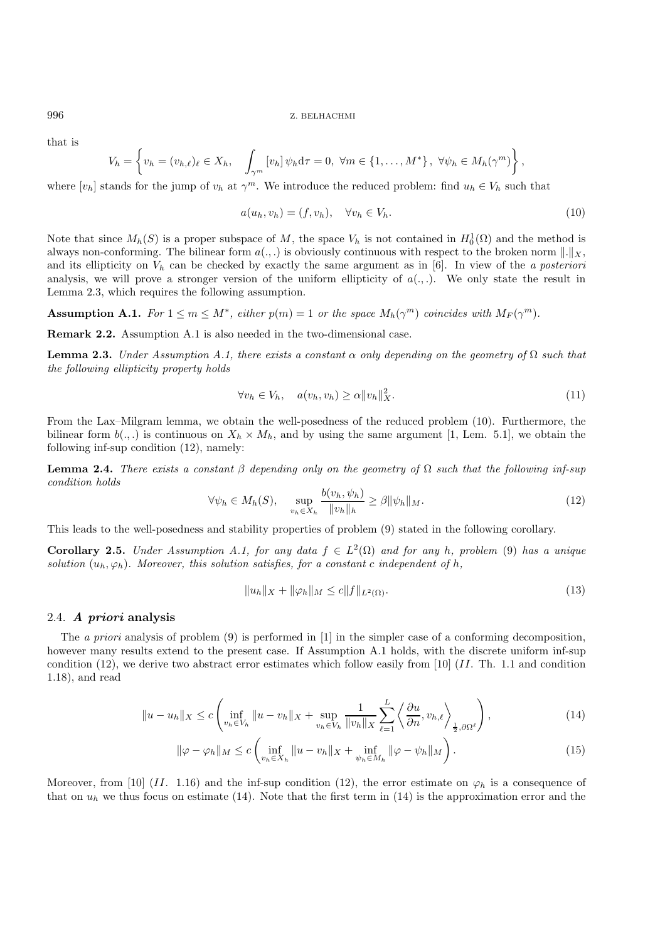that is

$$
V_h = \left\{ v_h = (v_{h,\ell})_\ell \in X_h, \quad \int_{\gamma^m} [v_h] \, \psi_h \mathrm{d}\tau = 0, \ \forall m \in \{1, \dots, M^*\}, \ \forall \psi_h \in M_h(\gamma^m) \right\},
$$

where  $[v_h]$  stands for the jump of  $v_h$  at  $\gamma^m$ . We introduce the reduced problem: find  $u_h \in V_h$  such that

$$
a(u_h, v_h) = (f, v_h), \quad \forall v_h \in V_h.
$$
\n
$$
(10)
$$

Note that since  $M_h(S)$  is a proper subspace of M, the space  $V_h$  is not contained in  $H_0^1(\Omega)$  and the method is always non-conforming. The bilinear form  $g(x)$  is obviously continuous with respect to the broken norm  $|| \cdot$ always non-conforming. The bilinear form  $a(.,.)$  is obviously continuous with respect to the broken norm  $\|.\|_X$ , and its ellipticity on  $V<sub>h</sub>$  can be checked by exactly the same argument as in [6]. In view of the *a posteriori* analysis, we will prove a stronger version of the uniform ellipticity of  $a(.,.)$ . We only state the result in Lemma 2.3, which requires the following assumption.

**Assumption A.1.** *For*  $1 \leq m \leq M^*$ *, either*  $p(m) = 1$  *or the space*  $M_h(\gamma^m)$  *coincides with*  $M_F(\gamma^m)$ *.* 

**Remark 2.2.** Assumption A.1 is also needed in the two-dimensional case.

**Lemma 2.3.** *Under Assumption A.1, there exists a constant*  $\alpha$  *only depending on the geometry of*  $\Omega$  *such that the following ellipticity property holds*

$$
\forall v_h \in V_h, \quad a(v_h, v_h) \ge \alpha \|v_h\|_X^2. \tag{11}
$$

From the Lax–Milgram lemma, we obtain the well-posedness of the reduced problem (10). Furthermore, the bilinear form  $b(.,.)$  is continuous on  $X_h \times M_h$ , and by using the same argument [1, Lem. 5.1], we obtain the following inf-sup condition (12), namely:

**Lemma 2.4.** *There exists a constant* β *depending only on the geometry of* <sup>Ω</sup> *such that the following inf-sup condition holds*

$$
\forall \psi_h \in M_h(S), \quad \sup_{v_h \in X_h} \frac{b(v_h, \psi_h)}{\|v_h\|_h} \ge \beta \|\psi_h\|_M. \tag{12}
$$

This leads to the well-posedness and stability properties of problem (9) stated in the following corollary.

**Corollary 2.5.** *Under Assumption A.1, for any data*  $f \in L^2(\Omega)$  *and for any* h, problem (9) has a unique *solution*  $(u_h, \varphi_h)$ *. Moreover, this solution satisfies, for a constant c independent of h,* 

$$
||u_h||_X + ||\varphi_h||_M \le c||f||_{L^2(\Omega)}.
$$
\n(13)

## 2.4. *A priori* **analysis**

The *a priori* analysis of problem (9) is performed in [1] in the simpler case of a conforming decomposition, however many results extend to the present case. If Assumption A.1 holds, with the discrete uniform inf-sup condition (12), we derive two abstract error estimates which follow easily from [10]  $(II.$  Th. 1.1 and condition <sup>1</sup>.18), and read

$$
||u - u_h||_X \le c \left( \inf_{v_h \in V_h} ||u - v_h||_X + \sup_{v_h \in V_h} \frac{1}{||v_h||_X} \sum_{\ell=1}^L \left\langle \frac{\partial u}{\partial n}, v_{h,\ell} \right\rangle_{\frac{1}{2}, \partial \Omega^\ell} \right),\tag{14}
$$

$$
\|\varphi - \varphi_h\|_M \le c \left( \inf_{v_h \in X_h} \|u - v_h\|_X + \inf_{\psi_h \in M_h} \|\varphi - \psi_h\|_M \right). \tag{15}
$$

Moreover, from [10] (II. 1.16) and the inf-sup condition (12), the error estimate on  $\varphi_h$  is a consequence of that on  $u_h$  we thus focus on estimate (14). Note that the first term in (14) is the approximation error and the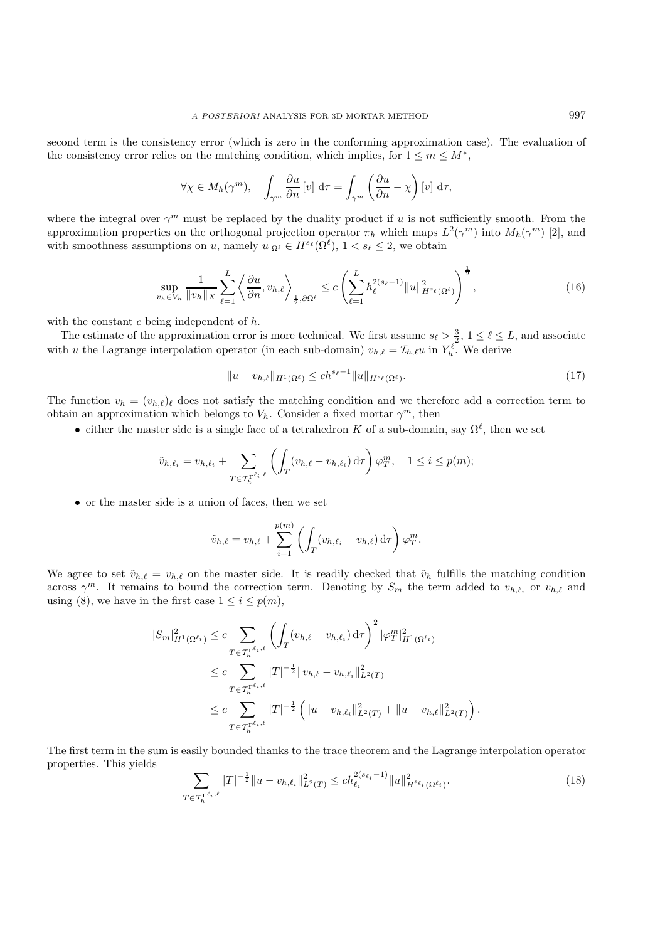second term is the consistency error (which is zero in the conforming approximation case). The evaluation of the consistency error relies on the matching condition, which implies, for  $1 \leq m \leq M^*$ ,

$$
\forall \chi \in M_h(\gamma^m), \quad \int_{\gamma^m} \frac{\partial u}{\partial n} [v] \, d\tau = \int_{\gamma^m} \left( \frac{\partial u}{\partial n} - \chi \right) [v] \, d\tau,
$$

where the integral over  $\gamma^m$  must be replaced by the duality product if u is not sufficiently smooth. From the approximation properties on the orthogonal projection operator  $\pi_h$  which maps  $L^2(\gamma^m)$  into  $M_h(\gamma^m)$  [2], and with smoothness assumptions on u, namely  $u_{\Omega^\ell} \in H^{s_\ell}(\Omega^\ell)$ ,  $1 < s_\ell \leq 2$ , we obtain

$$
\sup_{v_h \in V_h} \frac{1}{\|v_h\|_X} \sum_{\ell=1}^L \left\langle \frac{\partial u}{\partial n}, v_{h,\ell} \right\rangle_{\frac{1}{2}, \partial \Omega^\ell} \le c \left( \sum_{\ell=1}^L h_\ell^{2(s_\ell - 1)} \|u\|_{H^{s_\ell}(\Omega^\ell)}^2 \right)^{\frac{1}{2}},\tag{16}
$$

with the constant  $c$  being independent of  $h$ .

The estimate of the approximation error is more technical. We first assume  $s_{\ell} > \frac{3}{2}$ ,  $1 \leq \ell \leq L$ , and associate with u the Lagrange interpolation operator (in each sub-domain)  $v_{h,\ell} = \mathcal{I}_{h,\ell} u$  in  $Y_h^{\ell}$ . We derive

$$
||u - v_{h,\ell}||_{H^1(\Omega^{\ell})} \le ch^{s_{\ell}-1} ||u||_{H^{s_{\ell}}(\Omega^{\ell})}.
$$
\n(17)

The function  $v_h = (v_{h,\ell})_\ell$  does not satisfy the matching condition and we therefore add a correction term to obtain an approximation which belongs to  $V_h$ . Consider a fixed mortar  $\gamma^m$ , then

• either the master side is a single face of a tetrahedron K of a sub-domain, say  $\Omega^{\ell}$ , then we set

$$
\tilde{v}_{h,\ell_i} = v_{h,\ell_i} + \sum_{T \in \mathcal{T}_h^{\Gamma^{\ell_i,\ell}}} \left( \int_T (v_{h,\ell} - v_{h,\ell_i}) \, d\tau \right) \varphi_T^m, \quad 1 \le i \le p(m);
$$

• or the master side is a union of faces, then we set

$$
\tilde{v}_{h,\ell} = v_{h,\ell} + \sum_{i=1}^{p(m)} \left( \int_T (v_{h,\ell_i} - v_{h,\ell}) \, d\tau \right) \varphi_T^m.
$$

We agree to set  $\tilde{v}_{h,\ell} = v_{h,\ell}$  on the master side. It is readily checked that  $\tilde{v}_h$  fulfills the matching condition across  $\gamma^m$ . It remains to bound the correction term. Denoting by  $S_m$  the term added to  $v_{h,\ell_i}$  or  $v_{h,\ell}$  and using (8), we have in the first case  $1 \leq i \leq p(m)$ ,

$$
|S_m|_{H^1(\Omega^{\ell_i})}^2 \le c \sum_{T \in \mathcal{T}_h^{\Gamma^{\ell_i,\ell}}} \left( \int_T (v_{h,\ell} - v_{h,\ell_i}) d\tau \right)^2 |\varphi_T^m|_{H^1(\Omega^{\ell_i})}^2
$$
  

$$
\le c \sum_{T \in \mathcal{T}_h^{\Gamma^{\ell_i,\ell}}} |T|^{-\frac{1}{2}} \|v_{h,\ell} - v_{h,\ell_i}\|_{L^2(T)}^2
$$
  

$$
\le c \sum_{T \in \mathcal{T}_h^{\Gamma^{\ell_i,\ell}}} |T|^{-\frac{1}{2}} \left( \|u - v_{h,\ell_i}\|_{L^2(T)}^2 + \|u - v_{h,\ell}\|_{L^2(T)}^2 \right)
$$

The first term in the sum is easily bounded thanks to the trace theorem and the Lagrange interpolation operator properties. This yields

$$
\sum_{T \in \mathcal{T}_h^{\Gamma^{\ell_i}, \ell}} |T|^{-\frac{1}{2}} \|u - v_{h, \ell_i}\|_{L^2(T)}^2 \le ch_{\ell_i}^{2(s_{\ell_i} - 1)} \|u\|_{H^{s_{\ell_i}}(\Omega^{\ell_i})}^2.
$$
\n(18)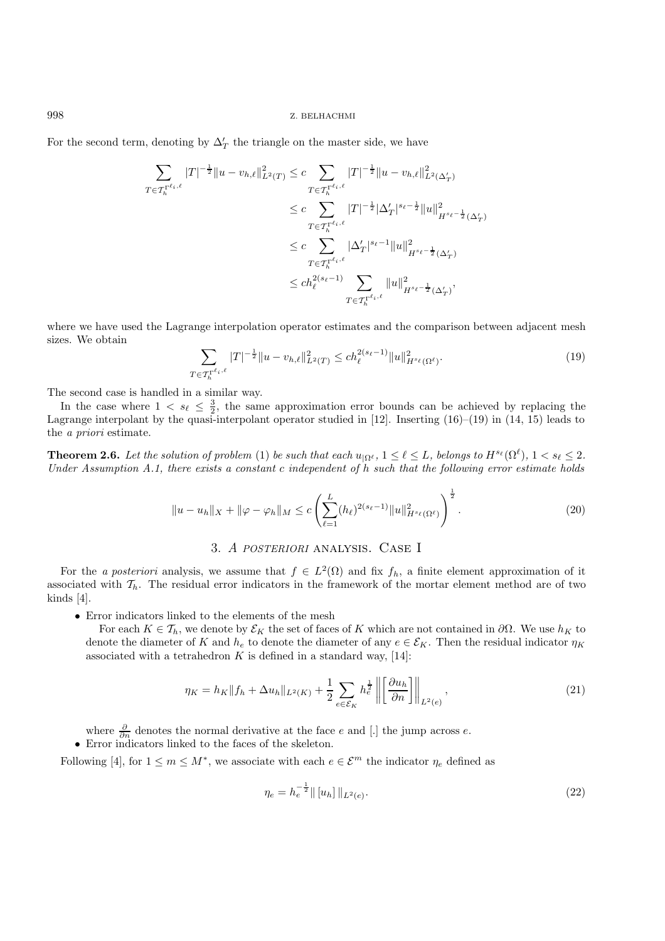For the second term, denoting by  $\Delta'_T$  the triangle on the master side, we have

$$
\sum_{T \in \mathcal{T}_h^{\Gamma^{\ell_i,\ell}}} |T|^{-\frac{1}{2}} \|u - v_{h,\ell}\|_{L^2(T)}^2 \leq c \sum_{T \in \mathcal{T}_h^{\Gamma^{\ell_i,\ell}}} |T|^{-\frac{1}{2}} \|u - v_{h,\ell}\|_{L^2(\Delta_T')}^2
$$
\n
$$
\leq c \sum_{T \in \mathcal{T}_h^{\Gamma^{\ell_i,\ell}}} |T|^{-\frac{1}{2}} |\Delta_T'|^{s_{\ell} - \frac{1}{2}} \|u\|_{H^{s_{\ell} - \frac{1}{2}}(\Delta_T')}^2
$$
\n
$$
\leq c \sum_{T \in \mathcal{T}_h^{\Gamma^{\ell_i,\ell}}} |\Delta_T'|^{s_{\ell} - 1} \|u\|_{H^{s_{\ell} - \frac{1}{2}}(\Delta_T')}^2
$$
\n
$$
\leq c h_{\ell}^{2(s_{\ell} - 1)} \sum_{T \in \mathcal{T}_h^{\Gamma^{\ell_i,\ell}}} \|u\|_{H^{s_{\ell} - \frac{1}{2}}(\Delta_T')}^2,
$$

where we have used the Lagrange interpolation operator estimates and the comparison between adjacent mesh sizes. We obtain

$$
\sum_{T \in \mathcal{T}_h^{\Gamma^{\ell_i,\ell}}} |T|^{-\frac{1}{2}} \|u - v_{h,\ell}\|_{L^2(T)}^2 \le ch_\ell^{2(s_\ell - 1)} \|u\|_{H^{s_\ell}(\Omega^\ell)}^2.
$$
\n(19)

The second case is handled in a similar way.

In the case where  $1 < s_\ell \leq \frac{3}{2}$ , the same approximation error bounds can be achieved by replacing the granual interpolant by the quasi-interpolant operator studied in [12]. Inserting (16)–(19) in (14, 15) leads to Lagrange interpolant by the quasi-interpolant operator studied in [12]. Inserting (16)–(19) in (14, 15) leads to the *a priori* estimate.

**Theorem 2.6.** Let the solution of problem (1) be such that each  $u_{|\Omega^\ell}$ ,  $1 \leq \ell \leq L$ , belongs to  $H^{s_\ell}(\Omega^\ell)$ ,  $1 < s_\ell \leq 2$ . *Under Assumption A.1, there exists a constant* c *independent of* h *such that the following error estimate holds*

$$
||u - u_h||_X + ||\varphi - \varphi_h||_M \leq c \left( \sum_{\ell=1}^L (h_\ell)^{2(s_\ell - 1)} ||u||_{H^{s_\ell}(\Omega^\ell)}^2 \right)^{\frac{1}{2}}.
$$
\n(20)

# 3. A POSTERIORI analysis. Case I

For the *a posteriori* analysis, we assume that  $f \in L^2(\Omega)$  and fix  $f_h$ , a finite element approximation of it associated with  $\mathcal{T}_h$ . The residual error indicators in the framework of the mortar element method are of two kinds [4].

• Error indicators linked to the elements of the mesh

For each  $K \in \mathcal{T}_h$ , we denote by  $\mathcal{E}_K$  the set of faces of K which are not contained in  $\partial\Omega$ . We use  $h_K$  to denote the diameter of K and  $h_e$  to denote the diameter of any  $e \in \mathcal{E}_K$ . Then the residual indicator  $\eta_K$ associated with a tetrahedron  $K$  is defined in a standard way, [14]:

$$
\eta_K = h_K \|f_h + \Delta u_h\|_{L^2(K)} + \frac{1}{2} \sum_{e \in \mathcal{E}_K} h_e^{\frac{1}{2}} \left\| \left[ \frac{\partial u_h}{\partial n} \right] \right\|_{L^2(e)},\tag{21}
$$

where  $\frac{\partial}{\partial n}$  denotes the normal derivative at the face e and [.] the jump across e.<br>Error indicators linked to the faces of the skeleton • Error indicators linked to the faces of the skeleton.

Following [4], for  $1 \leq m \leq M^*$ , we associate with each  $e \in \mathcal{E}^m$  the indicator  $\eta_e$  defined as

$$
\eta_e = h_e^{-\frac{1}{2}} \| [u_h] \|_{L^2(e)}.
$$
\n(22)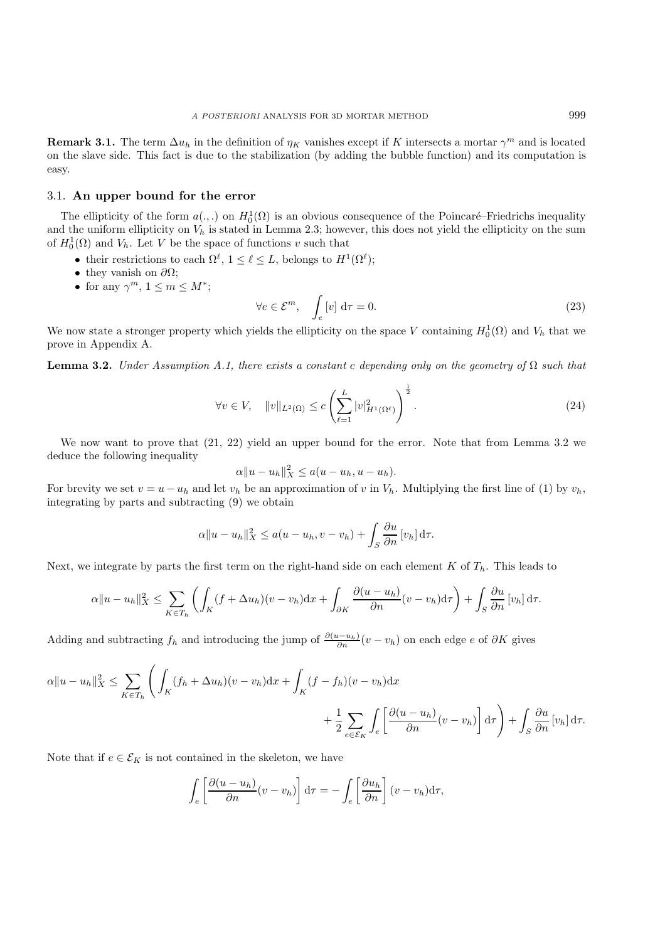**Remark 3.1.** The term  $\Delta u_h$  in the definition of  $\eta_K$  vanishes except if K intersects a mortar  $\gamma^m$  and is located on the slave side. This fact is due to the stabilization (by adding the bubble function) and its computation is easy.

## 3.1. **An upper bound for the error**

The ellipticity of the form  $a(.,.)$  on  $H_0^1(\Omega)$  is an obvious consequence of the Poincaré–Friedrichs inequality<br>d the uniform ellipticity on  $V_0$  is stated in Lemma 2.3; however, this does not vield the ellipticity on t and the uniform ellipticity on  $V_h$  is stated in Lemma 2.3; however, this does not yield the ellipticity on the sum of  $H_0^1(\Omega)$  and  $V_h$ . Let V be the space of functions v such that

- their restrictions to each  $\Omega^{\ell}$ ,  $1 \leq \ell \leq L$ , belongs to  $H^{1}(\Omega^{\ell})$ ;
- they vanish on  $\partial\Omega$ ;
- for any  $\gamma^m$ ,  $1 \leq m \leq M^*$ ;

$$
\forall e \in \mathcal{E}^m, \quad \int_e [v] \, \mathrm{d}\tau = 0. \tag{23}
$$

We now state a stronger property which yields the ellipticity on the space V containing  $H_0^1(\Omega)$  and  $V_h$  that we prove in Appendix A prove in Appendix A.

**Lemma 3.2.** *Under Assumption A.1, there exists a constant c depending only on the geometry of*  $\Omega$  *such that* 

$$
\forall v \in V, \quad \|v\|_{L^{2}(\Omega)} \leq c \left(\sum_{\ell=1}^{L} |v|_{H^{1}(\Omega^{\ell})}^{2}\right)^{\frac{1}{2}}.
$$
\n(24)

We now want to prove that (21, 22) yield an upper bound for the error. Note that from Lemma 3.2 we deduce the following inequality

$$
\alpha \|u - u_h\|_X^2 \le a(u - u_h, u - u_h).
$$

For brevity we set  $v = u - u_h$  and let  $v_h$  be an approximation of v in  $V_h$ . Multiplying the first line of (1) by  $v_h$ , integrating by parts and subtracting (9) we obtain integrating by parts and subtracting (9) we obtain

$$
\alpha \|u - u_h\|_X^2 \le a(u - u_h, v - v_h) + \int_S \frac{\partial u}{\partial n} [v_h] d\tau.
$$

Next, we integrate by parts the first term on the right-hand side on each element K of  $T<sub>h</sub>$ . This leads to

$$
\alpha \|u - u_h\|_X^2 \leq \sum_{K \in T_h} \left( \int_K (f + \Delta u_h)(v - v_h) \mathrm{d}x + \int_{\partial K} \frac{\partial(u - u_h)}{\partial n}(v - v_h) \mathrm{d}\tau \right) + \int_S \frac{\partial u}{\partial n} [v_h] \, \mathrm{d}\tau.
$$

Adding and subtracting  $f_h$  and introducing the jump of  $\frac{\partial (u-u_h)}{\partial n}(v-v_h)$  on each edge e of  $\partial K$  gives

$$
\alpha \|u - u_h\|_X^2 \le \sum_{K \in T_h} \left( \int_K (f_h + \Delta u_h)(v - v_h) \mathrm{d}x + \int_K (f - f_h)(v - v_h) \mathrm{d}x + \frac{1}{2} \sum_{e \in \mathcal{E}_K} \int_e \left[ \frac{\partial (u - u_h)}{\partial n}(v - v_h) \right] \mathrm{d}\tau \right) + \int_S \frac{\partial u}{\partial n} [v_h] \mathrm{d}\tau.
$$

Note that if  $e \in \mathcal{E}_K$  is not contained in the skeleton, we have

$$
\int_e \left[ \frac{\partial (u - u_h)}{\partial n} (v - v_h) \right] d\tau = - \int_e \left[ \frac{\partial u_h}{\partial n} \right] (v - v_h) d\tau,
$$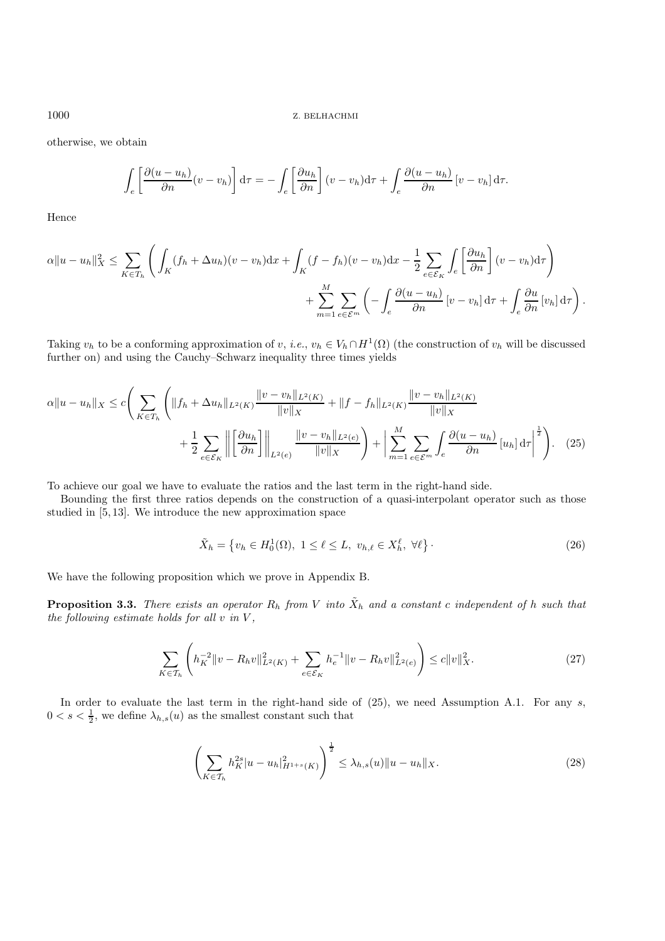otherwise, we obtain

$$
\int_e \left[ \frac{\partial (u - u_h)}{\partial n} (v - v_h) \right] d\tau = - \int_e \left[ \frac{\partial u_h}{\partial n} \right] (v - v_h) d\tau + \int_e \frac{\partial (u - u_h)}{\partial n} [v - v_h] d\tau.
$$

Hence

$$
\alpha \|u - u_h\|_X^2 \leq \sum_{K \in T_h} \left( \int_K (f_h + \Delta u_h)(v - v_h) \mathrm{d}x + \int_K (f - f_h)(v - v_h) \mathrm{d}x - \frac{1}{2} \sum_{e \in \mathcal{E}_K} \int_e \left[ \frac{\partial u_h}{\partial n} \right] (v - v_h) \mathrm{d}\tau \right) + \sum_{m=1}^M \sum_{e \in \mathcal{E}^m} \left( - \int_e \frac{\partial (u - u_h)}{\partial n} \left[ v - v_h \right] \mathrm{d}\tau + \int_e \frac{\partial u}{\partial n} \left[ v_h \right] \mathrm{d}\tau \right).
$$

Taking  $v_h$  to be a conforming approximation of v, *i.e.*,  $v_h \in V_h \cap H^1(\Omega)$  (the construction of  $v_h$  will be discussed further on) and using the Cauchy–Schwarz inequality three times yields

$$
\alpha \|u - u_h\|_X \le c \Bigg( \sum_{K \in T_h} \Bigg( \|f_h + \Delta u_h\|_{L^2(K)} \frac{\|v - v_h\|_{L^2(K)}}{\|v\|_X} + \|f - f_h\|_{L^2(K)} \frac{\|v - v_h\|_{L^2(K)}}{\|v\|_X} + \frac{1}{2} \sum_{e \in \mathcal{E}_K} \left\| \left[ \frac{\partial u_h}{\partial n} \right] \right\|_{L^2(e)} \frac{\|v - v_h\|_{L^2(e)}}{\|v\|_X} \Bigg) + \Bigg| \sum_{m=1}^M \sum_{e \in \mathcal{E}^m} \int_e \frac{\partial (u - u_h)}{\partial n} \left[ u_h \right] d\tau \Bigg|^{\frac{1}{2}} \Bigg). \tag{25}
$$

To achieve our goal we have to evaluate the ratios and the last term in the right-hand side.

Bounding the first three ratios depends on the construction of a quasi-interpolant operator such as those studied in [5, 13]. We introduce the new approximation space

$$
\tilde{X}_h = \left\{ v_h \in H_0^1(\Omega), \ 1 \le \ell \le L, \ v_{h,\ell} \in X_h^{\ell}, \ \forall \ell \right\}.
$$
\n
$$
(26)
$$

We have the following proposition which we prove in Appendix B.

**Proposition 3.3.** There exists an operator  $R_h$  from V into  $\tilde{X}_h$  and a constant c independent of h such that *the following estimate holds for all* v *in* V *,*

$$
\sum_{K \in \mathcal{T}_h} \left( h_K^{-2} \|v - R_h v\|_{L^2(K)}^2 + \sum_{e \in \mathcal{E}_K} h_e^{-1} \|v - R_h v\|_{L^2(e)}^2 \right) \le c \|v\|_X^2. \tag{27}
$$

In order to evaluate the last term in the right-hand side of  $(25)$ , we need Assumption A.1. For any s,  $0 < s < \frac{1}{2}$ , we define  $\lambda_{h,s}(u)$  as the smallest constant such that

$$
\left(\sum_{K\in\mathcal{T}_h} h_K^{2s}|u - u_h|_{H^{1+s}(K)}^2\right)^{\frac{1}{2}} \le \lambda_{h,s}(u) \|u - u_h\|_X. \tag{28}
$$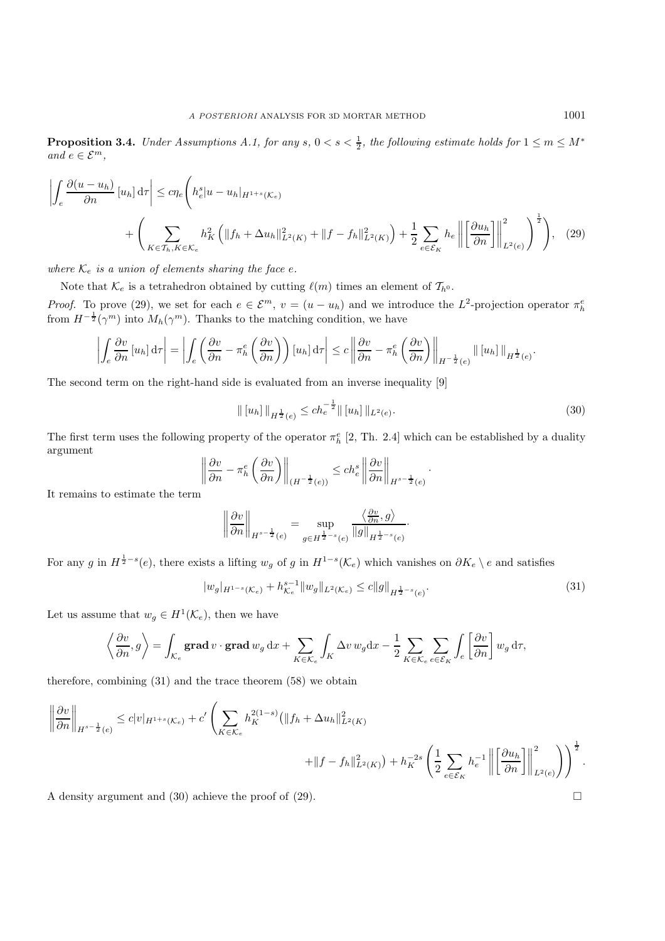**Proposition 3.4.** *Under Assumptions A.1, for any*  $s, 0 < s < \frac{1}{2}$ , the following estimate holds for  $1 \le m \le M^*$ *and*  $e \in \mathcal{E}^m$ ,

$$
\left| \int_{e} \frac{\partial(u - u_h)}{\partial n} \left[ u_h \right] d\tau \right| \leq c \eta_e \left( h_e^s |u - u_h|_{H^{1+s}(\mathcal{K}_e)} \right) + \left( \sum_{K \in \mathcal{T}_h, K \in \mathcal{K}_e} h_K^2 \left( \|f_h + \Delta u_h\|_{L^2(K)}^2 + \|f - f_h\|_{L^2(K)}^2 \right) + \frac{1}{2} \sum_{e \in \mathcal{E}_K} h_e \left\| \left[ \frac{\partial u_h}{\partial n} \right] \right\|_{L^2(e)}^2 \right)^{\frac{1}{2}} \right), \quad (29)
$$

*where*  $K_e$  *is a union of elements sharing the face e.* 

Note that  $\mathcal{K}_e$  is a tetrahedron obtained by cutting  $\ell(m)$  times an element of  $\mathcal{T}_{h^0}$ .

*Proof.* To prove (29), we set for each  $e \in \mathcal{E}^m$ ,  $v = (u - u_h)$  and we introduce the  $L^2$ -projection operator  $\pi_h^e$ from  $H^{-\frac{1}{2}}(\gamma^m)$  into  $M_h(\gamma^m)$ . Thanks to the matching condition, we have

$$
\left| \int_{e} \frac{\partial v}{\partial n} \left[ u_h \right] d\tau \right| = \left| \int_{e} \left( \frac{\partial v}{\partial n} - \pi_h^e \left( \frac{\partial v}{\partial n} \right) \right) \left[ u_h \right] d\tau \right| \leq c \left\| \frac{\partial v}{\partial n} - \pi_h^e \left( \frac{\partial v}{\partial n} \right) \right\|_{H^{-\frac{1}{2}}(e)} \|\left[ u_h \right] \|_{H^{\frac{1}{2}}(e)}.
$$

The second term on the right-hand side is evaluated from an inverse inequality [9]

$$
\| [u_h] \|_{H^{\frac{1}{2}}(e)} \leq c h_e^{-\frac{1}{2}} \| [u_h] \|_{L^2(e)}.
$$
\n(30)

The first term uses the following property of the operator  $\pi_h^e$  [2, Th. 2.4] which can be established by a duality argument argument

$$
\left\|\frac{\partial v}{\partial n} - \pi_h^e \left(\frac{\partial v}{\partial n}\right)\right\|_{(H^{-\frac{1}{2}}(e))} \le ch_e^s \left\|\frac{\partial v}{\partial n}\right\|_{H^{s-\frac{1}{2}}(e)}.
$$

It remains to estimate the term

$$
\left\|\frac{\partial v}{\partial n}\right\|_{H^{s-\frac{1}{2}}(e)} = \sup_{g \in H^{\frac{1}{2}-s}(e)} \frac{\left\langle \frac{\partial v}{\partial n}, g \right\rangle}{\|g\|_{H^{\frac{1}{2}-s}(e)}}.
$$

For any g in  $H^{\frac{1}{2}-s}(e)$ , there exists a lifting  $w_g$  of g in  $H^{1-s}(\mathcal{K}_e)$  which vanishes on  $\partial K_e \setminus e$  and satisfies

$$
|w_g|_{H^{1-s}(\mathcal{K}_e)} + h_{\mathcal{K}_e}^{s-1} \|w_g\|_{L^2(\mathcal{K}_e)} \le c \|g\|_{H^{\frac{1}{2}-s}(e)}.
$$
\n(31)

Let us assume that  $w_g \in H^1(\mathcal{K}_e)$ , then we have

$$
\left\langle \frac{\partial v}{\partial n}, g \right\rangle = \int_{\mathcal{K}_e} \mathbf{grad}\, v \cdot \mathbf{grad}\, w_g \, dx + \sum_{K \in \mathcal{K}_e} \int_K \Delta v \, w_g dx - \frac{1}{2} \sum_{K \in \mathcal{K}_e} \sum_{e \in \mathcal{E}_K} \int_e \left[ \frac{\partial v}{\partial n} \right] w_g \, d\tau,
$$

therefore, combining (31) and the trace theorem (58) we obtain

$$
\left\|\frac{\partial v}{\partial n}\right\|_{H^{s-\frac{1}{2}}(e)} \le c|v|_{H^{1+s}(\mathcal{K}_e)} + c' \left(\sum_{K \in \mathcal{K}_e} h_K^{2(1-s)} \left(\|f_h + \Delta u_h\|_{L^2(K)}^2\right) + \|f - f_h\|_{L^2(K)}^2\right) + \|f - f_h\|_{L^2(K)}^2 + \|f - f_h\|_{L^2(K)}^2 + \|f - f_h\|_{L^2(K)}^2 + \|f - f_h\|_{L^2(K)}^2 + \|f - f_h\|_{L^2(K)}^2
$$

A density argument and (30) achieve the proof of (29).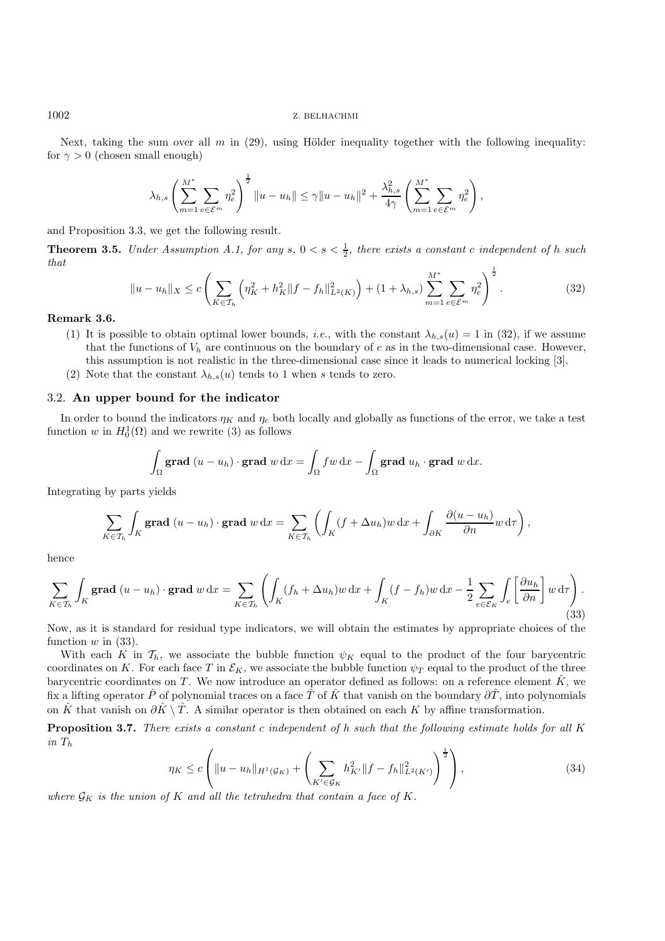Next, taking the sum over all  $m$  in (29), using Hölder inequality together with the following inequality: for  $\gamma > 0$  (chosen small enough)

$$
\lambda_{h,s}\left(\sum_{m=1}^{M^*}\sum_{e\in\mathcal{E}^m}\eta_e^2\right)^{\frac{1}{2}}\|u-u_h\|\leq \gamma\|u-u_h\|^2+\frac{\lambda_{h,s}^2}{4\gamma}\left(\sum_{m=1}^{M^*}\sum_{e\in\mathcal{E}^m}\eta_e^2\right),
$$

and Proposition 3.3, we get the following result.

**Theorem 3.5.** *Under Assumption A.1, for any*  $s, 0 < s < \frac{1}{2}$ *, there exists a constant c independent of h such that that*

$$
||u - u_h||_X \le c \left( \sum_{K \in \mathcal{T}_h} \left( \eta_K^2 + h_K^2 ||f - f_h||_{L^2(K)}^2 \right) + (1 + \lambda_{h,s}) \sum_{m=1}^{M^*} \sum_{e \in \mathcal{E}^m} \eta_e^2 \right)^{\frac{1}{2}}.
$$
 (32)

#### **Remark 3.6.**

- (1) It is possible to obtain optimal lower bounds, *i.e.*, with the constant  $\lambda_{h,s}(u) = 1$  in (32), if we assume that the functions of  $V_h$  are continuous on the boundary of e as in the two-dimensional case. However, this assumption is not realistic in the three-dimensional case since it leads to numerical locking [3].
- (2) Note that the constant  $\lambda_{h,s}(u)$  tends to 1 when s tends to zero.

# 3.2. **An upper bound for the indicator**

In order to bound the indicators  $\eta_K$  and  $\eta_e$  both locally and globally as functions of the error, we take a test function w in  $H_0^1(\Omega)$  and we rewrite (3) as follows

$$
\int_{\Omega} \mathbf{grad}(u - u_h) \cdot \mathbf{grad} w \, dx = \int_{\Omega} f w \, dx - \int_{\Omega} \mathbf{grad} u_h \cdot \mathbf{grad} w \, dx.
$$

Integrating by parts yields

$$
\sum_{K\in\mathcal{T}_h}\int_K\mathbf{grad}\,(u-u_h)\cdot\mathbf{grad}\,w\,\mathrm{d}x=\sum_{K\in\mathcal{T}_h}\left(\int_K(f+\Delta u_h)w\,\mathrm{d}x+\int_{\partial K}\frac{\partial(u-u_h)}{\partial n}w\,\mathrm{d}\tau\right),
$$

hence

$$
\sum_{K \in \mathcal{T}_h} \int_K \mathbf{grad}\, (u - u_h) \cdot \mathbf{grad}\, w \, dx = \sum_{K \in \mathcal{T}_h} \left( \int_K (f_h + \Delta u_h) w \, dx + \int_K (f - f_h) w \, dx - \frac{1}{2} \sum_{e \in \mathcal{E}_K} \int_e \left[ \frac{\partial u_h}{\partial n} \right] w \, d\tau \right). \tag{33}
$$

Now, as it is standard for residual type indicators, we will obtain the estimates by appropriate choices of the function  $w$  in (33).

With each K in  $\mathcal{T}_h$ , we associate the bubble function  $\psi_K$  equal to the product of the four barycentric coordinates on K. For each face T in  $\mathcal{E}_K$ , we associate the bubble function  $\psi_T$  equal to the product of the three barycentric coordinates on T. We now introduce an operator defined as follows: on a reference element  $\hat{K}$ , we fix a lifting operator P of polynomial traces on a face T of K that vanish on the boundary  $\partial T$ , into polynomials on  $\hat{K}$  that vanish on  $\partial \hat{K} \setminus \hat{T}$ . A similar operator is then obtained on each K by affine transformation.

**Proposition 3.7.** *There exists a constant* c *independent of* h *such that the following estimate holds for all* K *in*  $T_h$ 

$$
\eta_K \le c \left( \|u - u_h\|_{H^1(\mathcal{G}_K)} + \left( \sum_{K' \in \mathcal{G}_K} h_{K'}^2 \|f - f_h\|_{L^2(K')}^2 \right)^{\frac{1}{2}} \right),\tag{34}
$$

*where*  $\mathcal{G}_K$  *is the union of* K *and all the tetrahedra that contain a face of* K.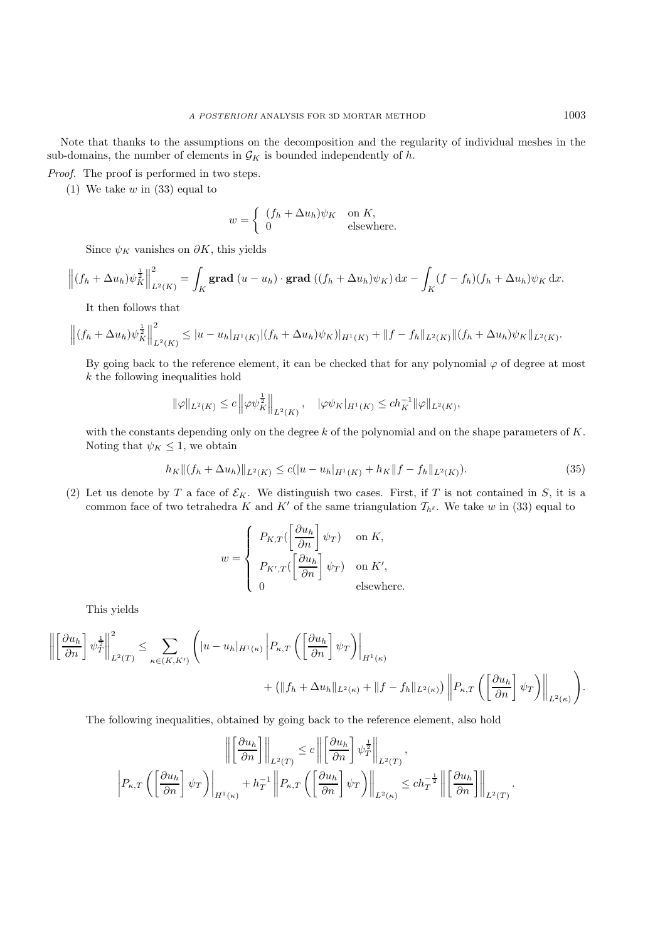Note that thanks to the assumptions on the decomposition and the regularity of individual meshes in the sub-domains, the number of elements in  $\mathcal{G}_K$  is bounded independently of h.

*Proof.* The proof is performed in two steps.

(1) We take  $w$  in (33) equal to

$$
w = \begin{cases} (f_h + \Delta u_h)\psi_K & \text{on } K, \\ 0 & \text{elsewhere.} \end{cases}
$$

Since  $\psi_K$  vanishes on  $\partial K$ , this yields

$$
\left\| (f_h + \Delta u_h) \psi_K^{\frac{1}{2}} \right\|_{L^2(K)}^2 = \int_K \mathbf{grad} \left( u - u_h \right) \cdot \mathbf{grad} \left( (f_h + \Delta u_h) \psi_K \right) dx - \int_K (f - f_h)(f_h + \Delta u_h) \psi_K dx.
$$

It then follows that

$$
\left\| (f_h + \Delta u_h) \psi_K^{\frac{1}{2}} \right\|_{L^2(K)}^2 \leq |u - u_h|_{H^1(K)} |(f_h + \Delta u_h) \psi_K|_{H^1(K)} + \|f - f_h\|_{L^2(K)} \| (f_h + \Delta u_h) \psi_K\|_{L^2(K)}.
$$

By going back to the reference element, it can be checked that for any polynomial  $\varphi$  of degree at most k the following inequalities hold

$$
\|\varphi\|_{L^2(K)} \le c \left\|\varphi\psi_K^{\frac{1}{2}}\right\|_{L^2(K)}, \quad |\varphi\psi_K|_{H^1(K)} \le c h_K^{-1} \|\varphi\|_{L^2(K)},
$$

with the constants depending only on the degree  $k$  of the polynomial and on the shape parameters of  $K$ . Noting that  $\psi_K \leq 1$ , we obtain

$$
h_K ||(f_h + \Delta u_h)||_{L^2(K)} \le c(|u - u_h|_{H^1(K)} + h_K ||f - f_h||_{L^2(K)}).
$$
\n(35)

(2) Let us denote by T a face of  $\mathcal{E}_K$ . We distinguish two cases. First, if T is not contained in S, it is a common face of two tetrahedra K and K' of the same triangulation  $\mathcal{T}_{h^{\ell}}$ . We take w in (33) equal to

$$
w = \begin{cases} P_{K,T}(\left[\frac{\partial u_h}{\partial n}\right]\psi_T) & \text{on } K, \\ P_{K',T}(\left[\frac{\partial u_h}{\partial n}\right]\psi_T) & \text{on } K', \\ 0 & \text{elsewhere.} \end{cases}
$$

This yields

$$
\left\| \left[ \frac{\partial u_h}{\partial n} \right] \psi_T^{\frac{1}{2}} \right\|_{L^2(T)}^2 \le \sum_{\kappa \in (K, K')} \left( |u - u_h|_{H^1(\kappa)} \left| P_{\kappa, T} \left( \left[ \frac{\partial u_h}{\partial n} \right] \psi_T \right) \right|_{H^1(\kappa)} + \left( \|f_h + \Delta u_h\|_{L^2(\kappa)} + \|f - f_h\|_{L^2(\kappa)} \right) \left\| P_{\kappa, T} \left( \left[ \frac{\partial u_h}{\partial n} \right] \psi_T \right) \right\|_{L^2(\kappa)} \right)
$$

The following inequalities, obtained by going back to the reference element, also hold

$$
\left\| \left[ \frac{\partial u_h}{\partial n} \right] \right\|_{L^2(T)} \leq c \left\| \left[ \frac{\partial u_h}{\partial n} \right] \psi_T^{\frac{1}{2}} \right\|_{L^2(T)},
$$
\n
$$
\left| P_{\kappa,T} \left( \left[ \frac{\partial u_h}{\partial n} \right] \psi_T \right) \right|_{H^1(\kappa)} + h_T^{-1} \left\| P_{\kappa,T} \left( \left[ \frac{\partial u_h}{\partial n} \right] \psi_T \right) \right\|_{L^2(\kappa)} \leq c h_T^{-\frac{1}{2}} \left\| \left[ \frac{\partial u_h}{\partial n} \right] \right\|_{L^2(T)}
$$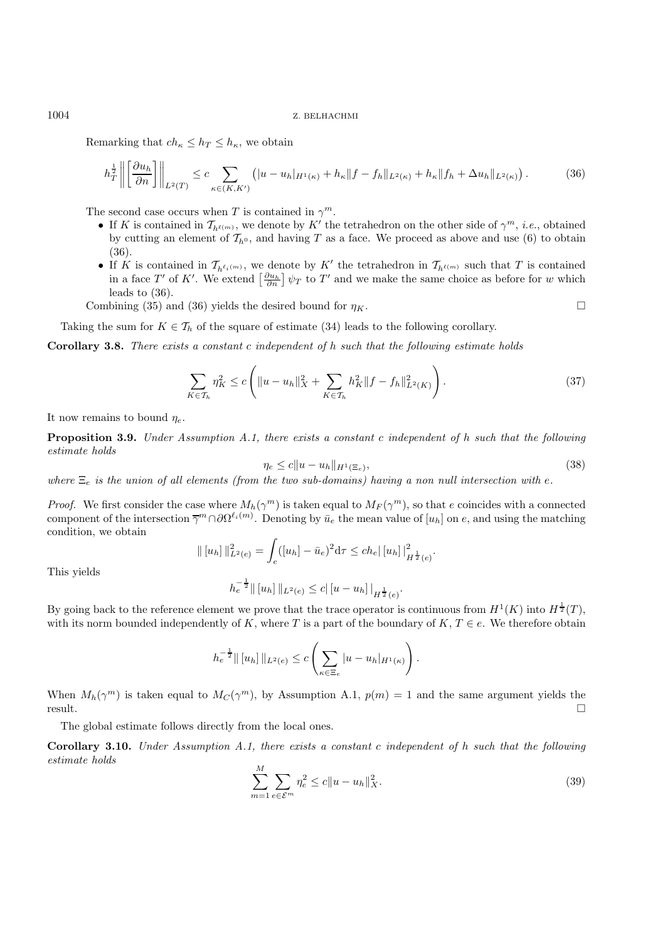Remarking that  $ch_{\kappa} \leq h_T \leq h_{\kappa}$ , we obtain

$$
h_T^{\frac{1}{2}} \left\| \left[ \frac{\partial u_h}{\partial n} \right] \right\|_{L^2(T)} \le c \sum_{\kappa \in (K, K')} \left( |u - u_h|_{H^1(\kappa)} + h_\kappa \|f - f_h\|_{L^2(\kappa)} + h_\kappa \|f_h + \Delta u_h\|_{L^2(\kappa)} \right). \tag{36}
$$

The second case occurs when T is contained in  $\gamma^m$ .

- If K is contained in  $\mathcal{T}_{h^{\ell(m)}}$ , we denote by K' the tetrahedron on the other side of  $\gamma^m$ , *i.e.*, obtained by cutting an element of  $\mathcal{T}_{h^0}$ , and having T as a face. We proceed as above and use (6) to obtain (36).
- If K is contained in  $\mathcal{T}_{h^{\ell_i}(m)}$ , we denote by K' the tetrahedron in  $\mathcal{T}_{h^{\ell(m)}}$  such that T is contained in a face T' of K'. We extend  $\left[\frac{\partial u_h}{\partial n}\right]\psi_T$  to T' and we make the same choice as before for w which leads to (36) leads to (36).

Combining (35) and (36) yields the desired bound for  $\eta_K$ .

Taking the sum for  $K \in \mathcal{T}_h$  of the square of estimate (34) leads to the following corollary.

**Corollary 3.8.** *There exists a constant* c *independent of* h *such that the following estimate holds*

$$
\sum_{K \in \mathcal{T}_h} \eta_K^2 \le c \left( \|u - u_h\|_X^2 + \sum_{K \in \mathcal{T}_h} h_K^2 \|f - f_h\|_{L^2(K)}^2 \right). \tag{37}
$$

It now remains to bound  $\eta_e$ .

**Proposition 3.9.** *Under Assumption A.1, there exists a constant* c *independent of* h *such that the following estimate holds*

$$
\eta_e \le c \|u - u_h\|_{H^1(\Xi_e)},\tag{38}
$$

 $where E_e$  *is the union of all elements (from the two sub-domains) having a non null intersection with e.* 

*Proof.* We first consider the case where  $M_h(\gamma^m)$  is taken equal to  $M_F(\gamma^m)$ , so that e coincides with a connected component of the intersection  $\overline{\gamma}^m \cap \partial \Omega^{\ell_i(m)}$ . Denoting by  $\overline{u}_e$  the mean value of  $[u_h]$  on e, and using the matching condition we obtain condition, we obtain

$$
\| [u_h] \|_{L^2(e)}^2 = \int_e ([u_h] - \bar{u}_e)^2 d\tau \leq ch_e | [u_h] \|_{H^{\frac{1}{2}}(e)}^2.
$$

This yields

$$
h_e^{-\frac{1}{2}} \| [u_h] \|_{L^2(e)} \leq c \| [u - u_h] \|_{H^{\frac{1}{2}}(e)}.
$$

By going back to the reference element we prove that the trace operator is continuous from  $H^1(K)$  into  $H^{\frac{1}{2}}(T)$ , with its norm bounded independently of K, where T is a part of the boundary of K, T  $\in$  e. We theref with its norm bounded independently of K, where T is a part of the boundary of K,  $T \in e$ . We therefore obtain

$$
h_e^{-\frac{1}{2}} \| [u_h] \|_{L^2(e)} \leq c \left( \sum_{\kappa \in \Xi_e} |u - u_h|_{H^1(\kappa)} \right).
$$

When  $M_h(\gamma^m)$  is taken equal to  $M_C(\gamma^m)$ , by Assumption A.1,  $p(m) = 1$  and the same argument yields the result. result.

The global estimate follows directly from the local ones.

**Corollary 3.10.** *Under Assumption A.1, there exists a constant* c *independent of* h *such that the following estimate holds*

$$
\sum_{m=1}^{M} \sum_{e \in \mathcal{E}^m} \eta_e^2 \le c \|u - u_h\|_X^2.
$$
 (39)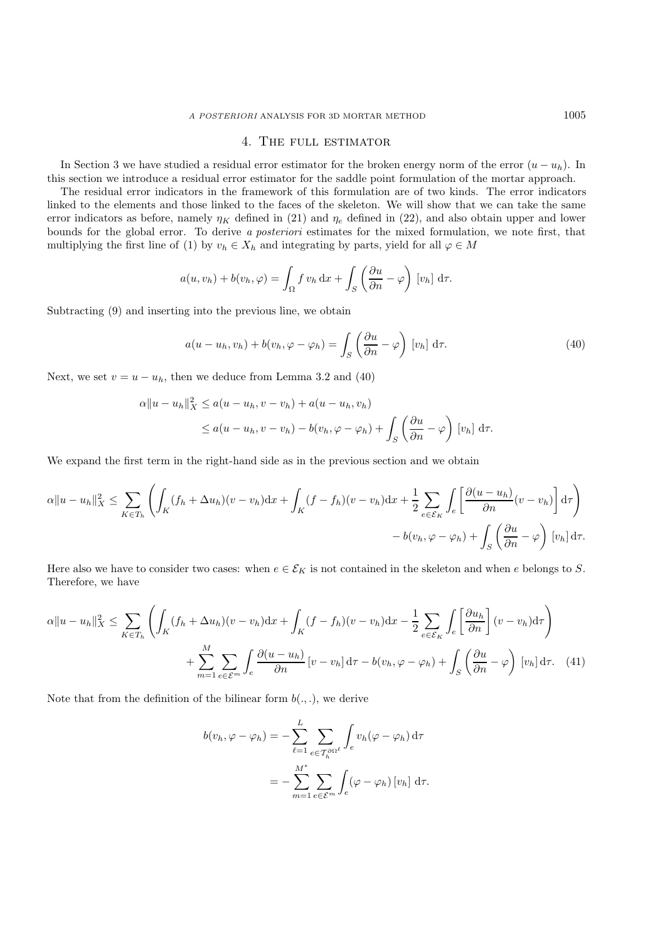## 4. The full estimator

In Section 3 we have studied a residual error estimator for the broken energy norm of the error  $(u - u_h)$ . In this section we introduce a residual error estimator for the saddle point formulation of the mortar approach.

The residual error indicators in the framework of this formulation are of two kinds. The error indicators linked to the elements and those linked to the faces of the skeleton. We will show that we can take the same error indicators as before, namely  $\eta_K$  defined in (21) and  $\eta_e$  defined in (22), and also obtain upper and lower bounds for the global error. To derive *a posteriori* estimates for the mixed formulation, we note first, that multiplying the first line of (1) by  $v_h \in X_h$  and integrating by parts, yield for all  $\varphi \in M$ 

$$
a(u, v_h) + b(v_h, \varphi) = \int_{\Omega} f v_h \, dx + \int_{S} \left( \frac{\partial u}{\partial n} - \varphi \right) [v_h] \, d\tau.
$$

Subtracting (9) and inserting into the previous line, we obtain

$$
a(u - u_h, v_h) + b(v_h, \varphi - \varphi_h) = \int_S \left(\frac{\partial u}{\partial n} - \varphi\right) [v_h] d\tau.
$$
 (40)

Next, we set  $v = u - u_h$ , then we deduce from Lemma 3.2 and (40)

$$
\alpha \|u - u_h\|_X^2 \le a(u - u_h, v - v_h) + a(u - u_h, v_h)
$$
  

$$
\le a(u - u_h, v - v_h) - b(v_h, \varphi - \varphi_h) + \int_S \left(\frac{\partial u}{\partial n} - \varphi\right) [v_h] d\tau.
$$

We expand the first term in the right-hand side as in the previous section and we obtain

$$
\alpha \|u - u_h\|_X^2 \le \sum_{K \in T_h} \left( \int_K (f_h + \Delta u_h)(v - v_h) \mathrm{d}x + \int_K (f - f_h)(v - v_h) \mathrm{d}x + \frac{1}{2} \sum_{e \in \mathcal{E}_K} \int_e \left[ \frac{\partial (u - u_h)}{\partial n}(v - v_h) \right] \mathrm{d}\tau \right) - b(v_h, \varphi - \varphi_h) + \int_S \left( \frac{\partial u}{\partial n} - \varphi \right) [v_h] \mathrm{d}\tau.
$$

Here also we have to consider two cases: when  $e \in \mathcal{E}_K$  is not contained in the skeleton and when e belongs to S. Therefore, we have

$$
\alpha \|u - u_h\|_X^2 \le \sum_{K \in T_h} \left( \int_K (f_h + \Delta u_h)(v - v_h) \mathrm{d}x + \int_K (f - f_h)(v - v_h) \mathrm{d}x - \frac{1}{2} \sum_{e \in \mathcal{E}_K} \int_e \left[ \frac{\partial u_h}{\partial n} \right] (v - v_h) \mathrm{d}\tau \right) + \sum_{m=1}^M \sum_{e \in \mathcal{E}^m} \int_e \frac{\partial (u - u_h)}{\partial n} [v - v_h] \mathrm{d}\tau - b(v_h, \varphi - \varphi_h) + \int_S \left( \frac{\partial u}{\partial n} - \varphi \right) [v_h] \mathrm{d}\tau. \tag{41}
$$

Note that from the definition of the bilinear form  $b(.,.)$ , we derive

$$
b(v_h, \varphi - \varphi_h) = -\sum_{\ell=1}^L \sum_{e \in \mathcal{T}_h^{\partial \Omega^\ell}} \int_e v_h(\varphi - \varphi_h) d\tau
$$

$$
= -\sum_{m=1}^{M^*} \sum_{e \in \mathcal{E}^m} \int_e (\varphi - \varphi_h) [v_h] d\tau.
$$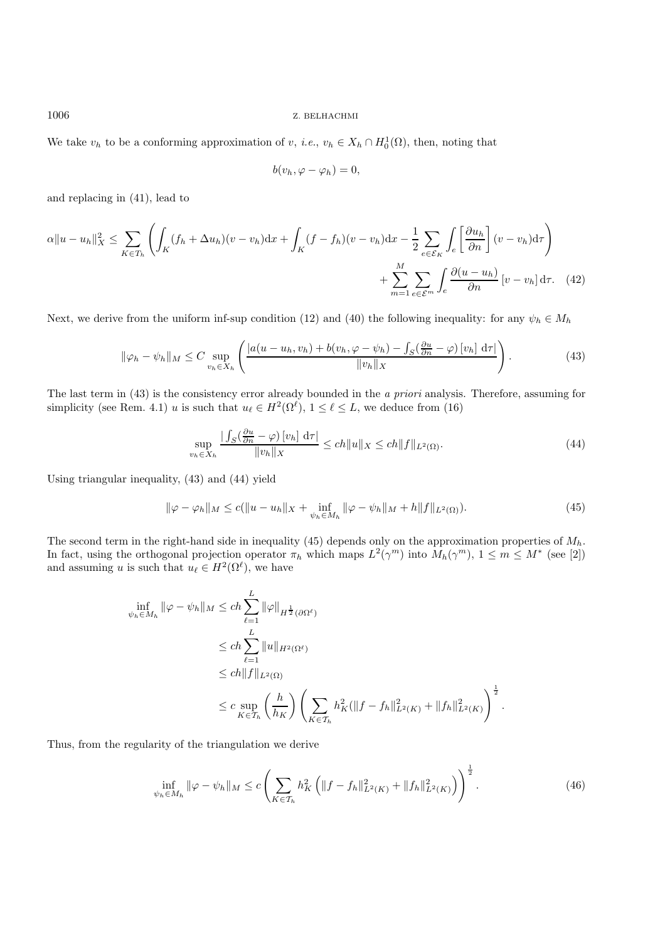We take  $v_h$  to be a conforming approximation of v, *i.e.*,  $v_h \in X_h \cap H_0^1(\Omega)$ , then, noting that

$$
b(v_h, \varphi - \varphi_h) = 0,
$$

and replacing in (41), lead to

$$
\alpha \|u - u_h\|_X^2 \le \sum_{K \in T_h} \left( \int_K (f_h + \Delta u_h)(v - v_h) \mathrm{d}x + \int_K (f - f_h)(v - v_h) \mathrm{d}x - \frac{1}{2} \sum_{e \in \mathcal{E}_K} \int_e \left[ \frac{\partial u_h}{\partial n} \right] (v - v_h) \mathrm{d}\tau \right) + \sum_{m=1}^M \sum_{e \in \mathcal{E}^m} \int_e \frac{\partial (u - u_h)}{\partial n} \left[ v - v_h \right] \mathrm{d}\tau. \tag{42}
$$

Next, we derive from the uniform inf-sup condition (12) and (40) the following inequality: for any  $\psi_h \in M_h$ 

$$
\|\varphi_h - \psi_h\|_M \le C \sup_{v_h \in X_h} \left( \frac{|a(u - u_h, v_h) + b(v_h, \varphi - \psi_h) - \int_S (\frac{\partial u}{\partial n} - \varphi) [v_h] d\tau|}{\|v_h\|_X} \right). \tag{43}
$$

The last term in (43) is the consistency error already bounded in the *a priori* analysis. Therefore, assuming for simplicity (see Rem. 4.1) u is such that  $u_\ell \in H^2(\Omega^\ell)$ ,  $1 \leq \ell \leq L$ , we deduce from (16)

$$
\sup_{v_h \in X_h} \frac{\left| \int_S \left( \frac{\partial u}{\partial n} - \varphi \right) [v_h] \, d\tau \right|}{\|v_h\|_X} \le ch \|u\|_X \le ch \|f\|_{L^2(\Omega)}.
$$
\n
$$
(44)
$$

Using triangular inequality, (43) and (44) yield

$$
\|\varphi - \varphi_h\|_M \le c(\|u - u_h\|_X + \inf_{\psi_h \in M_h} \|\varphi - \psi_h\|_M + h \|f\|_{L^2(\Omega)}).
$$
 (45)

The second term in the right-hand side in inequality (45) depends only on the approximation properties of  $M_h$ .<br>In fact, using the orthogonal projection operator  $\pi$ , which maps  $L^2(\gamma^m)$  into  $M_h(\gamma^m)$ ,  $1 \leq m \leq M^*$  ( In fact, using the orthogonal projection operator  $\pi_h$  which maps  $L^2(\gamma^m)$  into  $M_h(\gamma^m)$ ,  $1 \leq m \leq M^*$  (see [2]) and assuming u is such that  $u_\ell \in H^2(\Omega^\ell)$ , we have

$$
\inf_{\psi_h \in M_h} \|\varphi - \psi_h\|_M \le ch \sum_{\ell=1}^L \|\varphi\|_{H^{\frac{1}{2}}(\partial \Omega^{\ell})} \n\le ch \sum_{\ell=1}^L \|u\|_{H^2(\Omega^{\ell})} \n\le ch \|f\|_{L^2(\Omega)} \n\le c \sup_{K \in \mathcal{T}_h} \left(\frac{h}{h_K}\right) \left(\sum_{K \in \mathcal{T}_h} h_K^2 (\|f - f_h\|_{L^2(K)}^2 + \|f_h\|_{L^2(K)}^2)\right)^{\frac{1}{2}}
$$

Thus, from the regularity of the triangulation we derive

$$
\inf_{\psi_h \in M_h} \|\varphi - \psi_h\|_M \le c \left( \sum_{K \in \mathcal{T}_h} h_K^2 \left( \|f - f_h\|_{L^2(K)}^2 + \|f_h\|_{L^2(K)}^2 \right) \right)^{\frac{1}{2}}.
$$
\n(46)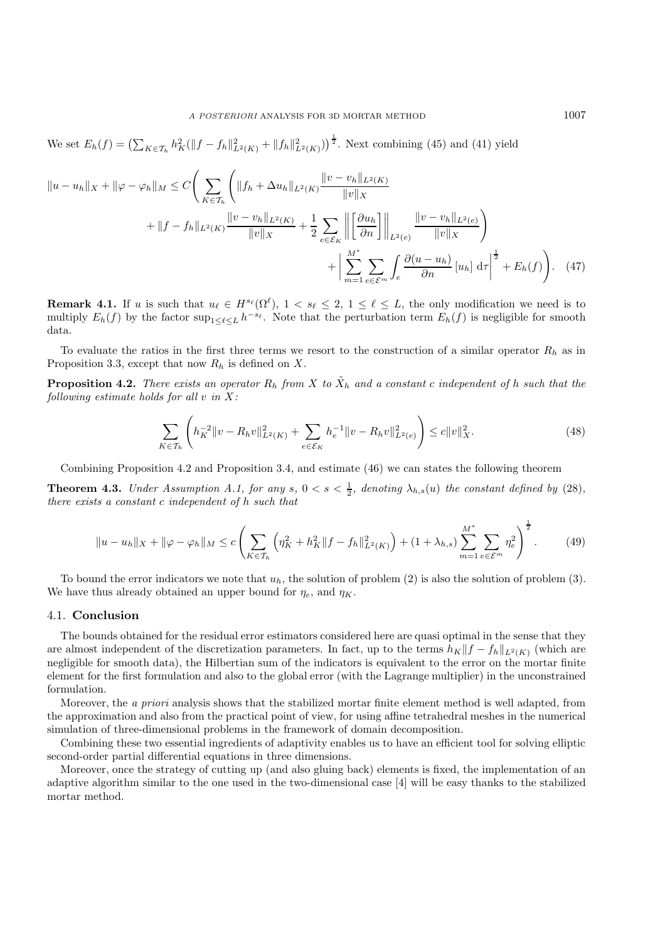We set  $E_h(f) = \left(\sum_{K \in \mathcal{T}_h} h_K^2(||f - f_h||_{L^2(K)}^2 + ||f_h||_{L^2(K)}^2)\right)^{\frac{1}{2}}$ . Next combining (45) and (41) yield

$$
||u - u_h||_X + ||\varphi - \varphi_h||_M \le C \Bigg( \sum_{K \in \mathcal{T}_h} \Bigg( ||f_h + \Delta u_h||_{L^2(K)} \frac{||v - v_h||_{L^2(K)}}{||v||_X} + ||f - f_h||_{L^2(K)} \frac{||v - v_h||_{L^2(K)}}{||v||_X} + \frac{1}{2} \sum_{e \in \mathcal{E}_K} \left( \left\| \frac{\partial u_h}{\partial n} \right\| \right\|_{L^2(e)} \frac{||v - v_h||_{L^2(e)}}{||v||_X} \Bigg) + \left| \sum_{m=1}^M \sum_{e \in \mathcal{E}^m} \int_e \frac{\partial (u - u_h)}{\partial n} [u_h] d\tau \right|^{\frac{1}{2}} + E_h(f) \Bigg). \tag{47}
$$

**Remark 4.1.** If u is such that  $u_\ell \in H^{s_\ell}(\Omega^\ell)$ ,  $1 < s_\ell \leq 2$ ,  $1 \leq \ell \leq L$ , the only modification we need is to multiply  $E_h(f)$  by the factor sup<sub>1≤ $\ell \leq L$ </sub> h<sup>-s<sub> $\ell$ </sub>. Note that the perturbation term  $E_h(f)$  is negligible for smooth</sup> data.

To evaluate the ratios in the first three terms we resort to the construction of a similar operator  $R_h$  as in Proposition 3.3, except that now  $R_h$  is defined on X.

**Proposition 4.2.** *There exists an operator*  $R_h$  *from* X *to*  $\tilde{X}_h$  *and a constant c independent of h such that the following estimate holds for all* v *in* X*:*

$$
\sum_{K \in \mathcal{T}_h} \left( h_K^{-2} \|v - R_h v\|_{L^2(K)}^2 + \sum_{e \in \mathcal{E}_K} h_e^{-1} \|v - R_h v\|_{L^2(e)}^2 \right) \le c \|v\|_X^2.
$$
\n(48)

Combining Proposition 4.2 and Proposition 3.4, and estimate (46) we can states the following theorem

**Theorem 4.3.** *Under Assumption A.1, for any* s,  $0 < s < \frac{1}{2}$ *, denoting*  $\lambda_{h,s}(u)$  *the constant defined by* (28)*,* there exists a constant c independent of b such that *there exists a constant* c *independent of* h *such that*

$$
||u - u_h||_X + ||\varphi - \varphi_h||_M \le c \left( \sum_{K \in \mathcal{T}_h} \left( \eta_K^2 + h_K^2 ||f - f_h||_{L^2(K)}^2 \right) + (1 + \lambda_{h,s}) \sum_{m=1}^{M^*} \sum_{e \in \mathcal{E}^m} \eta_e^2 \right)^{\frac{1}{2}}.
$$
 (49)

To bound the error indicators we note that  $u_h$ , the solution of problem (2) is also the solution of problem (3). We have thus already obtained an upper bound for  $\eta_e$ , and  $\eta_K$ .

## 4.1. **Conclusion**

The bounds obtained for the residual error estimators considered here are quasi optimal in the sense that they are almost independent of the discretization parameters. In fact, up to the terms  $h_K ||f - f_h||_{L^2(K)}$  (which are negligible for smooth data), the Hilbertian sum of the indicators is equivalent to the error on the mortar finite element for the first formulation and also to the global error (with the Lagrange multiplier) in the unconstrained formulation.

Moreover, the *a priori* analysis shows that the stabilized mortar finite element method is well adapted, from the approximation and also from the practical point of view, for using affine tetrahedral meshes in the numerical simulation of three-dimensional problems in the framework of domain decomposition.

Combining these two essential ingredients of adaptivity enables us to have an efficient tool for solving elliptic second-order partial differential equations in three dimensions.

Moreover, once the strategy of cutting up (and also gluing back) elements is fixed, the implementation of an adaptive algorithm similar to the one used in the two-dimensional case [4] will be easy thanks to the stabilized mortar method.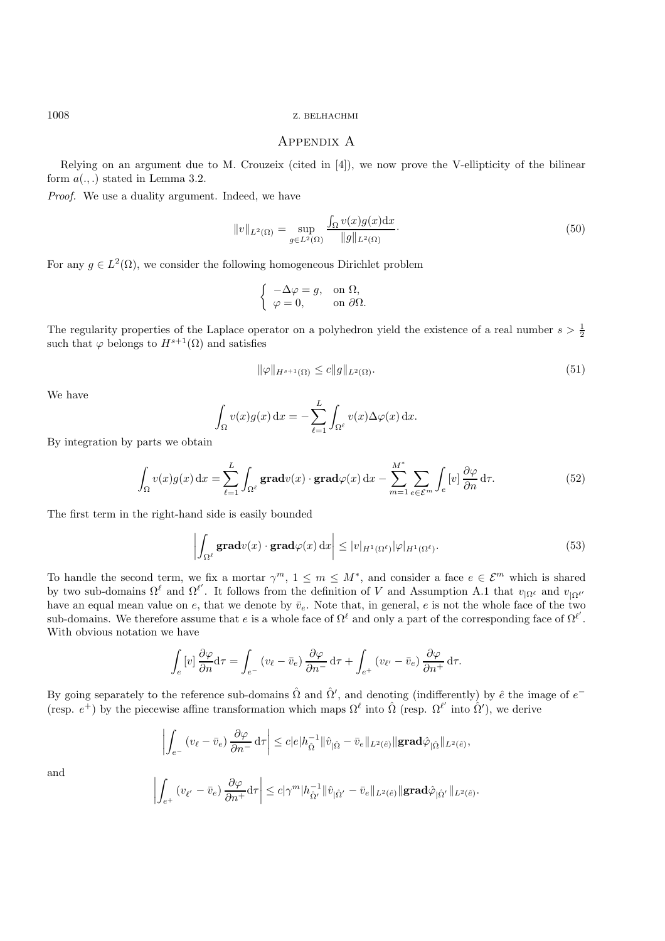# Appendix A

Relying on an argument due to M. Crouzeix (cited in [4]), we now prove the V-ellipticity of the bilinear form  $a(.,.)$  stated in Lemma 3.2.

*Proof.* We use a duality argument. Indeed, we have

$$
||v||_{L^{2}(\Omega)} = \sup_{g \in L^{2}(\Omega)} \frac{\int_{\Omega} v(x)g(x)dx}{||g||_{L^{2}(\Omega)}}.
$$
\n
$$
(50)
$$

For any  $g \in L^2(\Omega)$ , we consider the following homogeneous Dirichlet problem

$$
\begin{cases}\n-\Delta \varphi = g, & \text{on } \Omega, \\
\varphi = 0, & \text{on } \partial \Omega.\n\end{cases}
$$

The regularity properties of the Laplace operator on a polyhedron yield the existence of a real number  $s > \frac{1}{2}$ <br>such that a belongs to  $H^{s+1}(\Omega)$  and satisfies such that  $\varphi$  belongs to  $H^{s+1}(\Omega)$  and satisfies

$$
\|\varphi\|_{H^{s+1}(\Omega)} \le c \|g\|_{L^2(\Omega)}.
$$
\n
$$
(51)
$$

We have

$$
\int_{\Omega} v(x)g(x) dx = -\sum_{\ell=1}^{L} \int_{\Omega^{\ell}} v(x) \Delta \varphi(x) dx.
$$

By integration by parts we obtain

$$
\int_{\Omega} v(x)g(x) dx = \sum_{\ell=1}^{L} \int_{\Omega^{\ell}} \mathbf{grad}v(x) \cdot \mathbf{grad}\varphi(x) dx - \sum_{m=1}^{M^*} \sum_{e \in \mathcal{E}^m} \int_{e} [v] \frac{\partial \varphi}{\partial n} d\tau.
$$
 (52)

The first term in the right-hand side is easily bounded

$$
\left| \int_{\Omega^{\ell}} \mathbf{grad} v(x) \cdot \mathbf{grad} \varphi(x) dx \right| \leq |v|_{H^1(\Omega^{\ell})} |\varphi|_{H^1(\Omega^{\ell})}. \tag{53}
$$

To handle the second term, we fix a mortar  $\gamma^m$ ,  $1 \leq m \leq M^*$ , and consider a face  $e \in \mathcal{E}^m$  which is shared by two sub-domains  $\Omega^{\ell}$  and  $\Omega^{\ell'}$ . It follows from the definition of V and Assumption A.1 that  $v_{|\Omega^{\ell}}$  and  $v_{|\Omega^{\ell'}}$ <br>have an equal mean value on e, that we denote by  $\bar{v}$ . Note that in general e is not the w have an equal mean value on e, that we denote by  $\bar{v}_e$ . Note that, in general, e is not the whole face of the two sub-domains. We therefore assume that e is a whole face of  $\Omega^{\ell}$  and only a part of the corresponding face of  $\Omega^{\ell'}$ .<br>With obvious notation we have With obvious notation we have

$$
\int_{e} [v] \frac{\partial \varphi}{\partial n} d\tau = \int_{e^{-}} (v_{\ell} - \bar{v}_{e}) \frac{\partial \varphi}{\partial n^{-}} d\tau + \int_{e^{+}} (v_{\ell'} - \bar{v}_{e}) \frac{\partial \varphi}{\partial n^{+}} d\tau.
$$

By going separately to the reference sub-domains  $\hat{\Omega}$  and  $\hat{\Omega}'$ , and denoting (indifferently) by  $\hat{e}$  the image of  $e^{-\langle \hat{\Omega} \rangle}$  and  $\hat{\Omega}'$  and  $\hat{\Omega}'$  and  $\hat{\Omega}'$  and  $\hat{\Omega}'$  into  $\hat{\Omega}'$  into  $\hat{\Omega}'$ , we defin (resp.  $e^+$ ) by the piecewise affine transformation which maps  $\Omega^{\ell}$  into  $\hat{\Omega}$  (resp.  $\Omega^{\ell'}$  into  $\hat{\Omega}'$ ), we derive

$$
\left| \int_{e^-} (v_\ell - \bar{v}_e) \frac{\partial \varphi}{\partial n^-} \, d\tau \right| \leq c |e| h_{\hat{\Omega}}^{-1} ||\hat{v}_{|\hat{\Omega}} - \bar{v}_e ||_{L^2(\hat{e})} || \mathbf{grad}\hat{\varphi}_{|\hat{\Omega}} ||_{L^2(\hat{e})},
$$

and

$$
\left|\int_{e^+} \left(v_{\ell'} - \bar{v}_e\right) \frac{\partial \varphi}{\partial n^+} \mathrm{d} \tau\right| \leq c|\gamma^m |h_{\hat{\Omega}'}^{-1}||\hat{v}_{|\hat{\Omega}'} - \bar{v}_e||_{L^2(\hat{e})} \|\mathbf{grad}\hat{\varphi}_{|\hat{\Omega}'}||_{L^2(\hat{e})}.
$$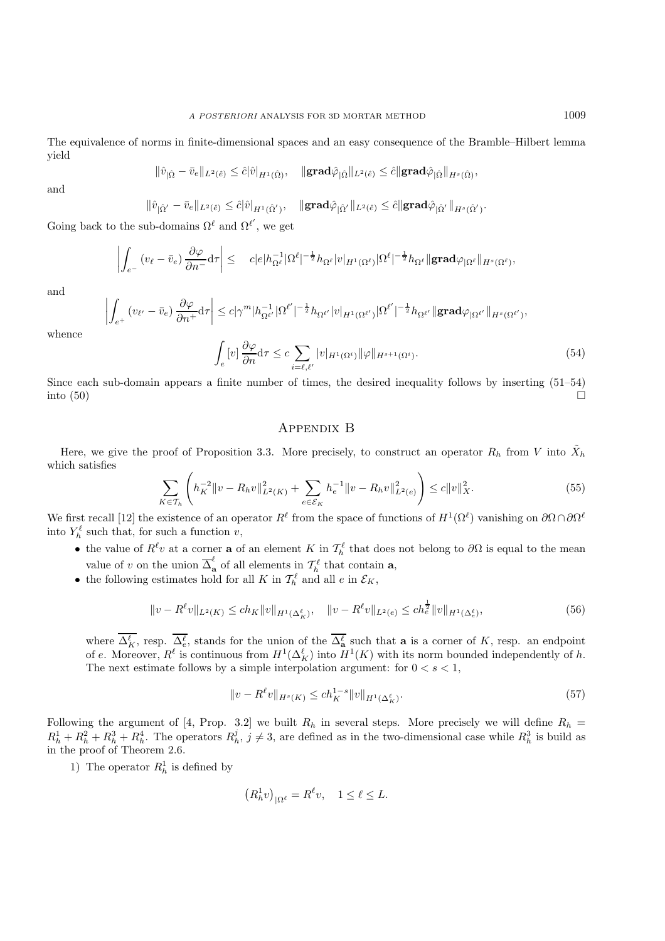The equivalence of norms in finite-dimensional spaces and an easy consequence of the Bramble–Hilbert lemma yield

$$
\|\hat{v}_{|\hat{\Omega}} - \bar{v}_e\|_{L^2(\hat{e})} \leq \hat{c}|\hat{v}|_{H^1(\hat{\Omega})}, \quad \|\mathbf{grad}\hat{\varphi}_{|\hat{\Omega}}\|_{L^2(\hat{e})} \leq \hat{c} \|\mathbf{grad}\hat{\varphi}_{|\hat{\Omega}}\|_{H^s(\hat{\Omega})},
$$

and

$$
\|\hat{v}_{|\hat{\Omega}'}-\bar{v}_e\|_{L^2(\hat{e})}\leq \hat{c}|\hat{v}|_{H^1(\hat{\Omega}')} ,\quad \|\mathbf{grad}\hat{\varphi}_{|\hat{\Omega}'}\|_{L^2(\hat{e})}\leq \hat{c}\|\mathbf{grad}\hat{\varphi}_{|\hat{\Omega}'}\|_{H^s(\hat{\Omega}')}.
$$

Going back to the sub-domains  $\Omega^{\ell}$  and  $\Omega^{\ell'}$ , we get

$$
\left|\int_{e^-} (v_\ell - \bar{v}_e) \frac{\partial \varphi}{\partial n^{-}} d\tau\right| \leq c|e|h_{\Omega^{\ell}}^{-1} |\Omega^{\ell}|^{-\frac{1}{2}} h_{\Omega^{\ell}} |v|_{H^1(\Omega^{\ell})} |\Omega^{\ell}|^{-\frac{1}{2}} h_{\Omega^{\ell}}| |\mathbf{grad}\varphi|_{\Omega^{\ell}}||_{H^s(\Omega^{\ell})},
$$

and

$$
\left|\int_{e^+} \left(v_{\ell'}-\bar v_e\right)\frac{\partial \varphi}{\partial n^+} \mathrm{d} \tau\right| \leq c|\gamma^m |h_{\Omega^{\ell'}}^{-1}|\Omega^{\ell'}|^{-\frac{1}{2}} h_{\Omega^{\ell'}} |v|_{H^1(\Omega^{\ell'})} |\Omega^{\ell'}|^{-\frac{1}{2}} h_{\Omega^{\ell'}} \|\mathbf{grad}\varphi_{|\Omega^{\ell'}}\|_{H^s(\Omega^{\ell'})},
$$

whence

$$
\int_{e} [v] \frac{\partial \varphi}{\partial n} d\tau \leq c \sum_{i=\ell,\ell'} |v|_{H^{1}(\Omega^{i})} ||\varphi||_{H^{s+1}(\Omega^{i})}.
$$
\n(54)

Since each sub-domain appears a finite number of times, the desired inequality follows by inserting (51–54) into  $(50)$ 

# Appendix B

Here, we give the proof of Proposition 3.3. More precisely, to construct an operator  $R_h$  from V into  $\tilde{X}_h$ which satisfies

$$
\sum_{K \in \mathcal{T}_h} \left( h_K^{-2} \|v - R_h v\|_{L^2(K)}^2 + \sum_{e \in \mathcal{E}_K} h_e^{-1} \|v - R_h v\|_{L^2(e)}^2 \right) \le c \|v\|_X^2.
$$
\n(55)

We first recall [12] the existence of an operator  $R^\ell$  from the space of functions of  $H^1(\Omega^\ell)$  vanishing on  $\partial\Omega \cap \partial\Omega^\ell$ into  $Y_h^{\ell}$  such that, for such a function  $v$ ,

- the value of  $R^{\ell}v$  at a corner **a** of an element K in  $\mathcal{T}_{h}^{\ell}$  that does not belong to  $\partial\Omega$  is equal to the mean value of v on the union  $\Delta_{\mathbf{a}}^{\circ}$  of all elements in  $\mathcal{T}_{h}^{\ell}$  that contain **a**, the following estimates hold for all K in  $\mathcal{T}_{h}^{\ell}$  and all e in  $\mathcal{S}_{\Sigma}$ .
- the following estimates hold for all K in  $\mathcal{T}_h^{\ell}$  and all  $e$  in  $\mathcal{E}_K$ ,

$$
||v - R^{\ell}v||_{L^{2}(K)} \le ch_K ||v||_{H^{1}(\Delta_{K}^{\ell})}, \quad ||v - R^{\ell}v||_{L^{2}(e)} \le ch_{\epsilon}^{\frac{1}{2}} ||v||_{H^{1}(\Delta_{e}^{\ell})},
$$
\n(56)

where  $\Delta_K^{\ell}$ , resp.  $\Delta_{\epsilon}^{\ell}$ , stands for the union of the  $\Delta_{\mathbf{a}}^{\ell}$  such that **a** is a corner of K, resp. an endpoint of a Moreover  $R^{\ell}$  is continuous from  $H^1(\Lambda^{\ell})$  into  $H^1(K)$  with its norm bounded in of e. Moreover,  $R^{\ell}$  is continuous from  $H^1(\Delta_K^{\ell})$  into  $H^1(K)$  with its norm bounded independently of h.<br>The next estimate follows by a simple interpolation argument: for  $0 \leq s \leq 1$ The next estimate follows by a simple interpolation argument: for  $0 < s < 1$ ,

$$
||v - R^{\ell}v||_{H^{s}(K)} \le ch_K^{1-s}||v||_{H^1(\Delta_K^{\ell})}.
$$
\n(57)

Following the argument of [4, Prop. 3.2] we built  $R_h$  in several steps. More precisely we will define  $R_h$  =  $R_h^1 + R_h^2 + R_h^3 + R_h^4$ . The operators  $R_h^j$ ,  $j \neq 3$ , are defined as in the two-dimensional case while  $R_h^3$  is build as in the proof of Theorem 2.6 in the proof of Theorem 2.6.

1) The operator  $R_h^1$  is defined by

$$
(R_h^1 v)_{|\Omega^\ell} = R^\ell v, \quad 1 \le \ell \le L.
$$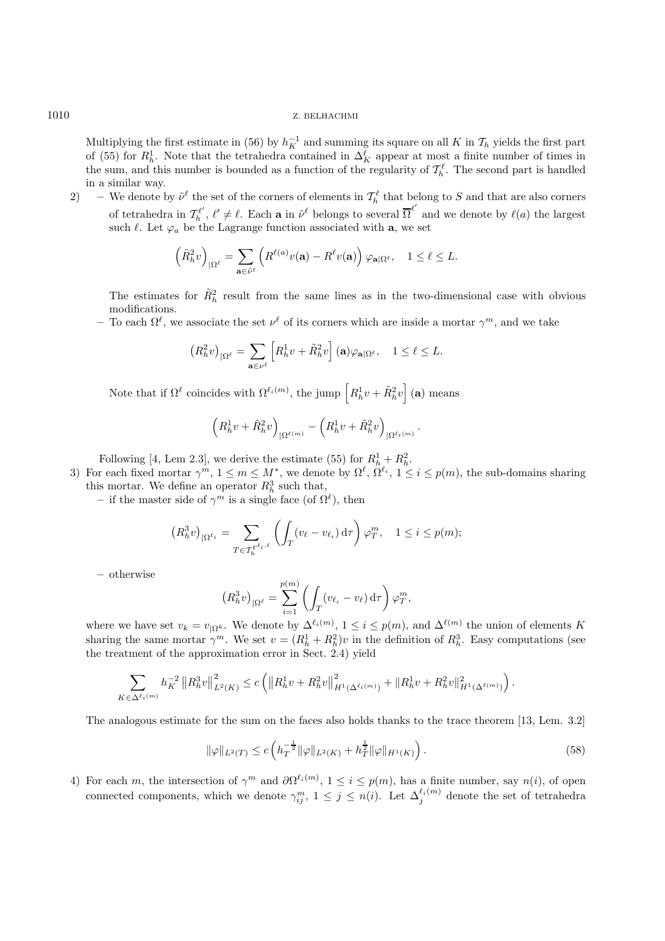Multiplying the first estimate in (56) by  $h_K^{-1}$  and summing its square on all K in  $\mathcal{T}_h$  yields the first part of the state of (55) for  $R^1$ . Note that the tetrahedra contained in  $\Delta^{\ell}$ , appear at most a finite n of (55) for  $R_h^1$ . Note that the tetrahedra contained in  $\Delta_K^{\ell}$  appear at most a finite number of times in<br>the sum, and this number is bounded as a function of the resultative of  $\mathcal{T}^{\ell}$ . The second part is bandle the sum, and this number is bounded as a function of the regularity of  $\mathcal{T}_h^{\ell}$ . The second part is handled<br>in a similar way in a similar way.

2) – We denote by  $\tilde{\nu}^{\ell}$  the set of the corners of elements in  $\mathcal{T}_h^{\ell}$  that belong to S and that are also corners of tetrahedra in  $\mathcal{T}_h^{\ell'}$ ,  $\ell' \neq \ell$ . Each **a** in  $\tilde{\nu}^{\ell}$  belongs to several  $\overline{\Omega}^{\ell'}$  and we denote by  $\ell(a)$  the largest such  $\ell$ . Let  $\alpha$ , be the Lagrange function associated with a we set such  $\ell$ . Let  $\varphi_a$  be the Lagrange function associated with **a**, we set

$$
\left(\tilde{R}_h^2 v\right)_{|\Omega^\ell} = \sum_{\mathbf{a}\in\tilde{\nu}^\ell} \left( R^{\ell(a)} v(\mathbf{a}) - R^\ell v(\mathbf{a}) \right) \varphi_{\mathbf{a}|\Omega^\ell}, \quad 1 \le \ell \le L.
$$

The estimates for  $\tilde{R}^2_h$  result from the same lines as in the two-dimensional case with obvious modifications modifications.

– To each  $\Omega^{\ell}$ , we associate the set  $\nu^{\ell}$  of its corners which are inside a mortar  $\gamma^{m}$ , and we take

$$
\left(R_h^2 v\right)_{|\Omega^\ell} = \sum_{\mathbf{a}\in\nu^\ell} \left[R_h^1 v + \tilde{R}_h^2 v\right](\mathbf{a})\varphi_{\mathbf{a}|\Omega^\ell}, \quad 1 \le \ell \le L.
$$

Note that if  $\Omega^{\ell}$  coincides with  $\Omega^{\ell_i(m)}$ , the jump  $\left[ R_h^1 v + \tilde{R}_h^2 v \right]$  $\bigg]$  (a) means

$$
\left(R^1_h v + \tilde R^2_h v\right)_{|\Omega^{\ell(m)}} - \left(R^1_h v + \tilde R^2_h v\right)_{|\Omega^{\ell_i(m)}}.
$$

Following [4, Lem 2.3], we derive the estimate (55) for  $R_h^1 + R_h^2$ .<br>r each fixed mortar  $\alpha^m$ ,  $1 \le m \le M^*$ , we denote by  $\Omega_{h_1}^{\ell}$ ,  $\Omega_{h_1}^{\ell}$ ,  $1 \le m$ 

3) For each fixed mortar  $\gamma^m$ ,  $1 \le m \le M^*$ , we denote by  $\Omega^{\ell}$ ,  $\Omega^{\ell_i}$ ,  $1 \le i \le p(m)$ , the sub-domains sharing this mortar. We define an operator  $R^3$  such that this mortar. We define an operator  $R_h^3$  such that,<br> $\overline{R}_h^3$  is a simple face (of O

– if the master side of  $\gamma^m$  is a single face (of  $\Omega^{\ell}$ ), then

$$
(R_h^3 v)_{|\Omega^{\ell_i}} = \sum_{T \in \mathcal{T}_h^{\Gamma_{\ell_i,\ell}}} \left( \int_T (v_\ell - v_{\ell_i}) \, \mathrm{d}\tau \right) \varphi_T^m, \quad 1 \le i \le p(m);
$$

**–** otherwise

$$
(R_h^3 v)_{|\Omega^\ell} = \sum_{i=1}^{p(m)} \left( \int_T (v_{\ell_i} - v_\ell) \, d\tau \right) \varphi_T^m,
$$

where we have set  $v_k = v_{\vert \Omega^k}$ . We denote by  $\Delta^{\ell_i(m)}$ ,  $1 \leq i \leq p(m)$ , and  $\Delta^{\ell(m)}$  the union of elements K<br>sharing the same morter  $\alpha^m$ . We set  $v = (P_1^1 + P_2^2)v$  in the definition of  $P_2^3$ . Easy computations (see sharing the same mortar  $\gamma^m$ . We set  $v = (R_h^1 + R_h^2)v$  in the definition of  $R_h^3$ . Easy computations (see<br>the treatment of the approximation error in Sect. 2.4) yield the treatment of the approximation error in Sect. 2.4) yield

$$
\sum_{K \in \Delta^{\ell_i(m)}} h_K^{-2} \|R_h^3 v\|_{L^2(K)}^2 \le c \left( \|R_h^1 v + R_h^2 v\|_{H^1(\Delta^{\ell_i(m)})}^2 + \|R_h^1 v + R_h^2 v\|_{H^1(\Delta^{\ell(m)})}^2 \right).
$$

The analogous estimate for the sum on the faces also holds thanks to the trace theorem [13, Lem. 3.2]

$$
\|\varphi\|_{L^2(T)} \le c \left( h_T^{-\frac{1}{2}} \|\varphi\|_{L^2(K)} + h_T^{\frac{1}{2}} \|\varphi\|_{H^1(K)} \right). \tag{58}
$$

4) For each m, the intersection of  $\gamma^m$  and  $\partial \Omega^{\ell_i(m)}$ ,  $1 \leq i \leq p(m)$ , has a finite number, say  $n(i)$ , of open connected components, which we denote  $\gamma_{ij}^m$ ,  $1 \leq j \leq n(i)$ . Let  $\Delta_j^{\ell_i(m)}$  denote the set of tetrahedra